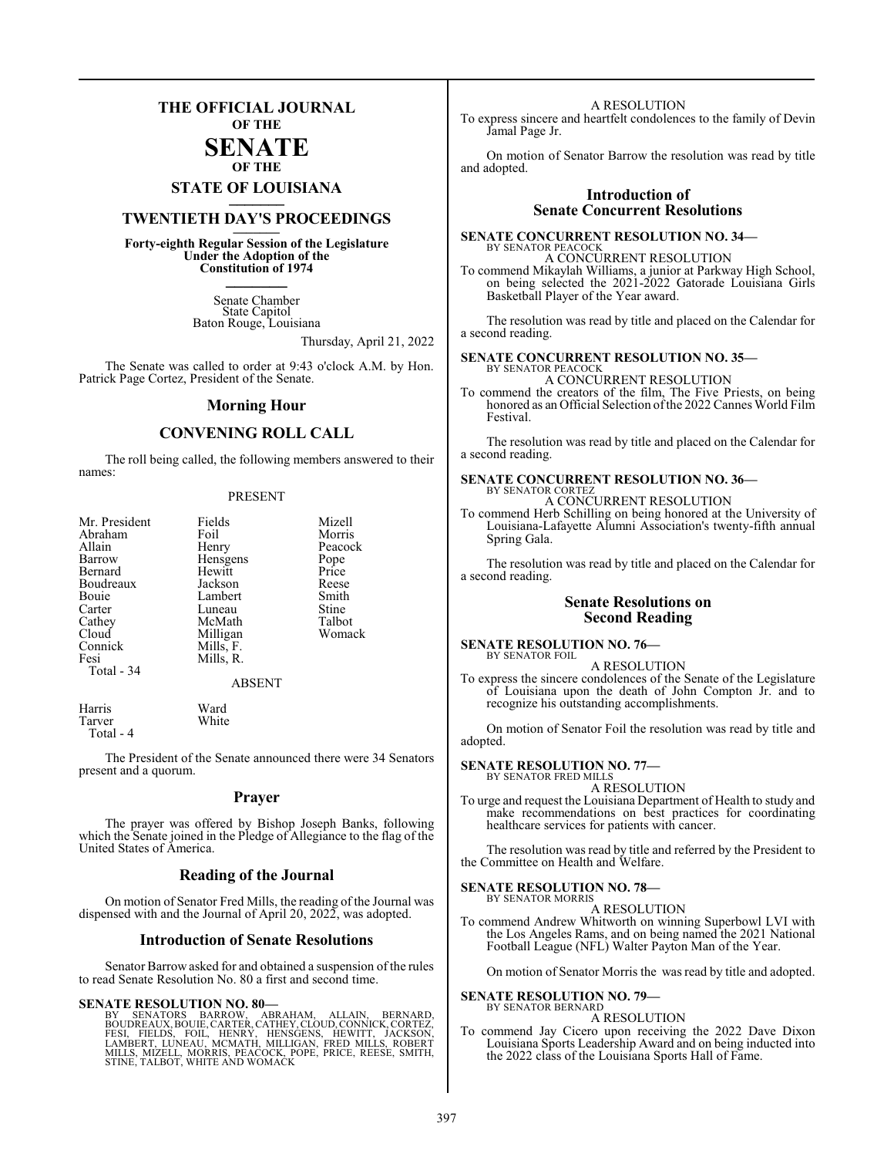## **THE OFFICIAL JOURNAL OF THE**

#### **SENATE OF THE**

# **STATE OF LOUISIANA \_\_\_\_\_\_\_**

# **TWENTIETH DAY'S PROCEEDINGS \_\_\_\_\_\_\_**

**Forty-eighth Regular Session of the Legislature Under the Adoption of the Constitution of 1974 \_\_\_\_\_\_\_**

> Senate Chamber State Capitol Baton Rouge, Louisiana

> > Thursday, April 21, 2022

The Senate was called to order at 9:43 o'clock A.M. by Hon. Patrick Page Cortez, President of the Senate.

#### **Morning Hour**

## **CONVENING ROLL CALL**

The roll being called, the following members answered to their names:

#### PRESENT

| Mr. President<br>Abraham<br>Allain<br>Barrow<br>Bernard<br>Boudreaux<br>Bouie<br>Carter<br>Cathey<br>Cloud<br>Connick<br>Fesi<br>Total - 34 | Fields<br>Foil<br>Henry<br>Hensgens<br>Hewitt<br>Jackson<br>Lambert<br>Luneau<br>McMath<br>Milligan<br>Mills, F.<br>Mills, R.<br><b>ABSENT</b> | Mizell<br>Morris<br>Peacock<br>Pope<br>Price<br>Reese<br>Smith<br>Stine<br>Talbot<br>Womack |
|---------------------------------------------------------------------------------------------------------------------------------------------|------------------------------------------------------------------------------------------------------------------------------------------------|---------------------------------------------------------------------------------------------|
| Harris                                                                                                                                      | Ward                                                                                                                                           |                                                                                             |

Tarver White Total - 4

The President of the Senate announced there were 34 Senators present and a quorum.

#### **Prayer**

The prayer was offered by Bishop Joseph Banks, following which the Senate joined in the Pledge of Allegiance to the flag of the United States of America.

#### **Reading of the Journal**

On motion of Senator Fred Mills, the reading of the Journal was dispensed with and the Journal of April 20, 2022, was adopted.

#### **Introduction of Senate Resolutions**

Senator Barrow asked for and obtained a suspension of the rules to read Senate Resolution No. 80 a first and second time.

#### **SENATE RESOLUTION NO. 80—**

BY SENATORS BARROW, ABRAHAM, ALLAIN, BERNARD,<br>BOUDREAUX,BOUIE,CARTER,CATHEY,CLOUD,CONNICK,CORTEZ,<br>FESI, FIELDS, FOIL, HENRY, HENSGENS, HEWITT, JACKSON,<br>LAMBERT,LUNEAU,MCNATH,MILLIGAN,FRED MILLS,ROBERT<br>MILLS,MIZELL,MORRIS,P

A RESOLUTION

To express sincere and heartfelt condolences to the family of Devin Jamal Page Jr.

On motion of Senator Barrow the resolution was read by title and adopted.

### **Introduction of Senate Concurrent Resolutions**

**SENATE CONCURRENT RESOLUTION NO. 34—** BY SENATOR PEACOCK A CONCURRENT RESOLUTION

To commend Mikaylah Williams, a junior at Parkway High School, on being selected the 2021-2022 Gatorade Louisiana Girls Basketball Player of the Year award.

The resolution was read by title and placed on the Calendar for a second reading.

#### **SENATE CONCURRENT RESOLUTION NO. 35—** BY SENATOR PEACOCK

A CONCURRENT RESOLUTION

To commend the creators of the film, The Five Priests, on being honored as an Official Selection of the 2022 Cannes World Film Festival.

The resolution was read by title and placed on the Calendar for a second reading.

# **SENATE CONCURRENT RESOLUTION NO. 36—** BY SENATOR CORTEZ

A CONCURRENT RESOLUTION

To commend Herb Schilling on being honored at the University of Louisiana-Lafayette Alumni Association's twenty-fifth annual Spring Gala.

The resolution was read by title and placed on the Calendar for a second reading.

#### **Senate Resolutions on Second Reading**

#### **SENATE RESOLUTION NO. 76—** BY SENATOR FOIL

A RESOLUTION

To express the sincere condolences of the Senate of the Legislature of Louisiana upon the death of John Compton Jr. and to recognize his outstanding accomplishments.

On motion of Senator Foil the resolution was read by title and adopted.

**SENATE RESOLUTION NO. 77—** BY SENATOR FRED MILLS

A RESOLUTION

To urge and request the Louisiana Department of Health to study and make recommendations on best practices for coordinating healthcare services for patients with cancer.

The resolution was read by title and referred by the President to the Committee on Health and Welfare.

#### **SENATE RESOLUTION NO. 78—** BY SENATOR MORRIS

A RESOLUTION

To commend Andrew Whitworth on winning Superbowl LVI with the Los Angeles Rams, and on being named the 2021 National Football League (NFL) Walter Payton Man of the Year.

On motion of Senator Morris the was read by title and adopted.

#### **SENATE RESOLUTION NO. 79—** BY SENATOR BERNARD

A RESOLUTION

To commend Jay Cicero upon receiving the 2022 Dave Dixon Louisiana Sports Leadership Award and on being inducted into the 2022 class of the Louisiana Sports Hall of Fame.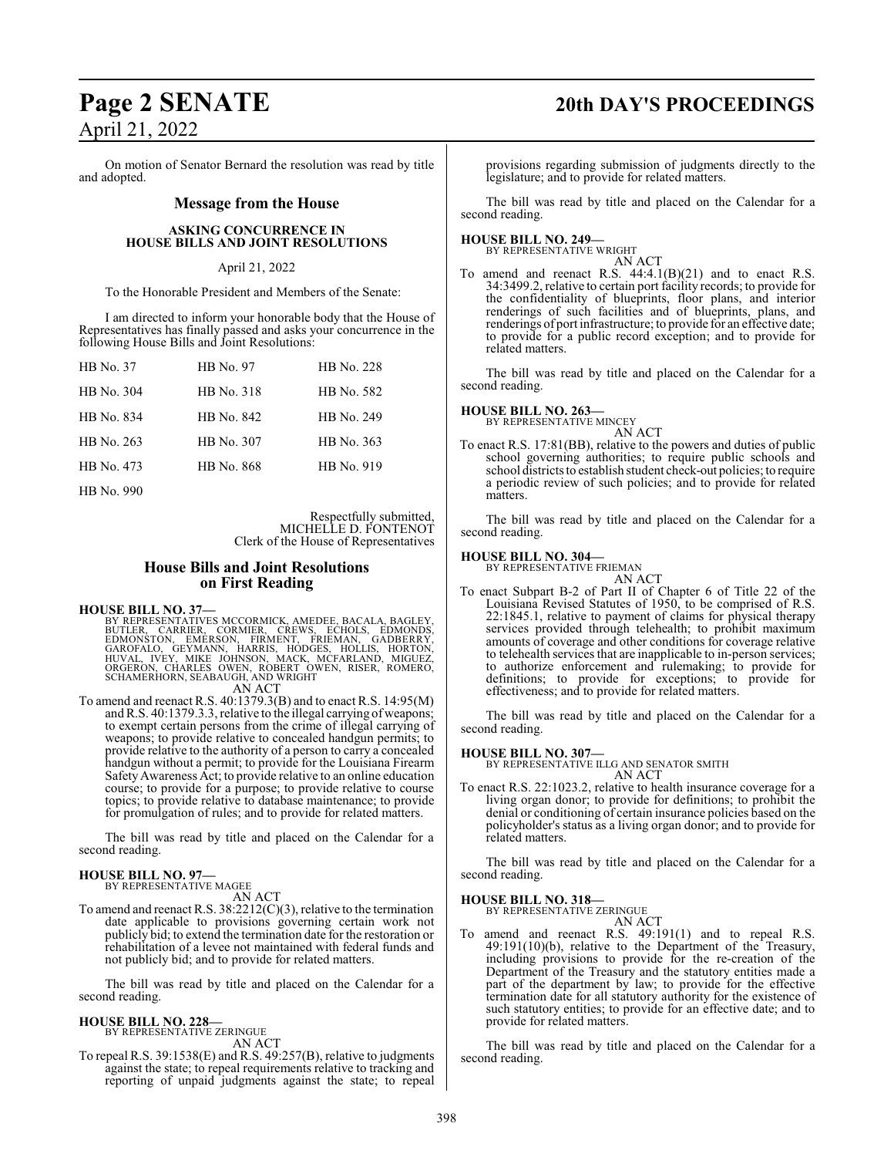# **Page 2 SENATE 20th DAY'S PROCEEDINGS** April 21, 2022

#### On motion of Senator Bernard the resolution was read by title and adopted.

#### **Message from the House**

#### **ASKING CONCURRENCE IN HOUSE BILLS AND JOINT RESOLUTIONS**

#### April 21, 2022

To the Honorable President and Members of the Senate:

I am directed to inform your honorable body that the House of Representatives has finally passed and asks your concurrence in the following House Bills and Joint Resolutions:

| HB No. 37  | HB No. 97         | HB No. 228 |
|------------|-------------------|------------|
| HB No. 304 | HB No. 318        | HB No. 582 |
| HB No. 834 | HB No. 842        | HB No. 249 |
| HB No. 263 | HB No. 307        | HB No. 363 |
| HB No. 473 | <b>HB</b> No. 868 | HB No. 919 |
| HB No. 990 |                   |            |

Respectfully submitted, MICHELLE D. FONTENOT Clerk of the House of Representatives

#### **House Bills and Joint Resolutions on First Reading**

**HOUSE BILL NO. 37—**

BY REPRESENTATIVES MCCORMICK, AMEDEE, BACALA, BAGLEY,<br>BUTLER, CARRIER, CORMIER, CREWS, ECHOLS, EDMONSTON, EMERSON, FIRMENT, FRIEMAN, GADBERRY,<br>GAROFALO, GEYMANN, HARRIS, HODGES, HOLLIS, HORTON,<br> AN ACT

To amend and reenact R.S. 40:1379.3(B) and to enact R.S. 14:95(M) and R.S. 40:1379.3.3, relative to the illegal carrying of weapons; to exempt certain persons from the crime of illegal carrying of weapons; to provide relative to concealed handgun permits; to provide relative to the authority of a person to carry a concealed handgun without a permit; to provide for the Louisiana Firearm SafetyAwareness Act; to provide relative to an online education course; to provide for a purpose; to provide relative to course topics; to provide relative to database maintenance; to provide for promulgation of rules; and to provide for related matters.

The bill was read by title and placed on the Calendar for a second reading.

#### **HOUSE BILL NO. 97—** BY REPRESENTATIVE MAGEE

AN ACT

To amend and reenact R.S. 38:2212(C)(3), relative to the termination date applicable to provisions governing certain work not publicly bid; to extend the termination date for the restoration or rehabilitation of a levee not maintained with federal funds and not publicly bid; and to provide for related matters.

The bill was read by title and placed on the Calendar for a second reading.

#### **HOUSE BILL NO. 228—**

BY REPRESENTATIVE ZERINGUE AN ACT

To repeal R.S. 39:1538(E) and R.S. 49:257(B), relative to judgments against the state; to repeal requirements relative to tracking and reporting of unpaid judgments against the state; to repeal

provisions regarding submission of judgments directly to the legislature; and to provide for related matters.

The bill was read by title and placed on the Calendar for a second reading.

# **HOUSE BILL NO. 249—** BY REPRESENTATIVE WRIGHT

AN ACT To amend and reenact R.S.  $44:4.1(B)(21)$  and to enact R.S. 34:3499.2, relative to certain port facility records; to provide for the confidentiality of blueprints, floor plans, and interior renderings of such facilities and of blueprints, plans, and renderings of port infrastructure; to provide for an effective date; to provide for a public record exception; and to provide for related matters.

The bill was read by title and placed on the Calendar for a second reading.

# **HOUSE BILL NO. 263—** BY REPRESENTATIVE MINCEY

AN ACT

To enact R.S. 17:81(BB), relative to the powers and duties of public school governing authorities; to require public schools and school districts to establish student check-out policies; to require a periodic review of such policies; and to provide for related matters.

The bill was read by title and placed on the Calendar for a second reading.

#### **HOUSE BILL NO. 304—**

BY REPRESENTATIVE FRIEMAN AN ACT

To enact Subpart B-2 of Part II of Chapter 6 of Title 22 of the Louisiana Revised Statutes of 1950, to be comprised of R.S. 22:1845.1, relative to payment of claims for physical therapy services provided through telehealth; to prohibit maximum amounts of coverage and other conditions for coverage relative to telehealth services that are inapplicable to in-person services; to authorize enforcement and rulemaking; to provide for definitions; to provide for exceptions; to provide for effectiveness; and to provide for related matters.

The bill was read by title and placed on the Calendar for a second reading.

**HOUSE BILL NO. 307—** BY REPRESENTATIVE ILLG AND SENATOR SMITH

AN ACT To enact R.S. 22:1023.2, relative to health insurance coverage for a living organ donor; to provide for definitions; to prohibit the denial or conditioning of certain insurance policies based on the policyholder's status as a living organ donor; and to provide for related matters.

The bill was read by title and placed on the Calendar for a second reading.

#### **HOUSE BILL NO. 318—**

BY REPRESENTATIVE ZERINGUE

- AN ACT
- To amend and reenact R.S. 49:191(1) and to repeal R.S. 49:191(10)(b), relative to the Department of the Treasury, including provisions to provide for the re-creation of the Department of the Treasury and the statutory entities made a part of the department by law; to provide for the effective termination date for all statutory authority for the existence of such statutory entities; to provide for an effective date; and to provide for related matters.

The bill was read by title and placed on the Calendar for a second reading.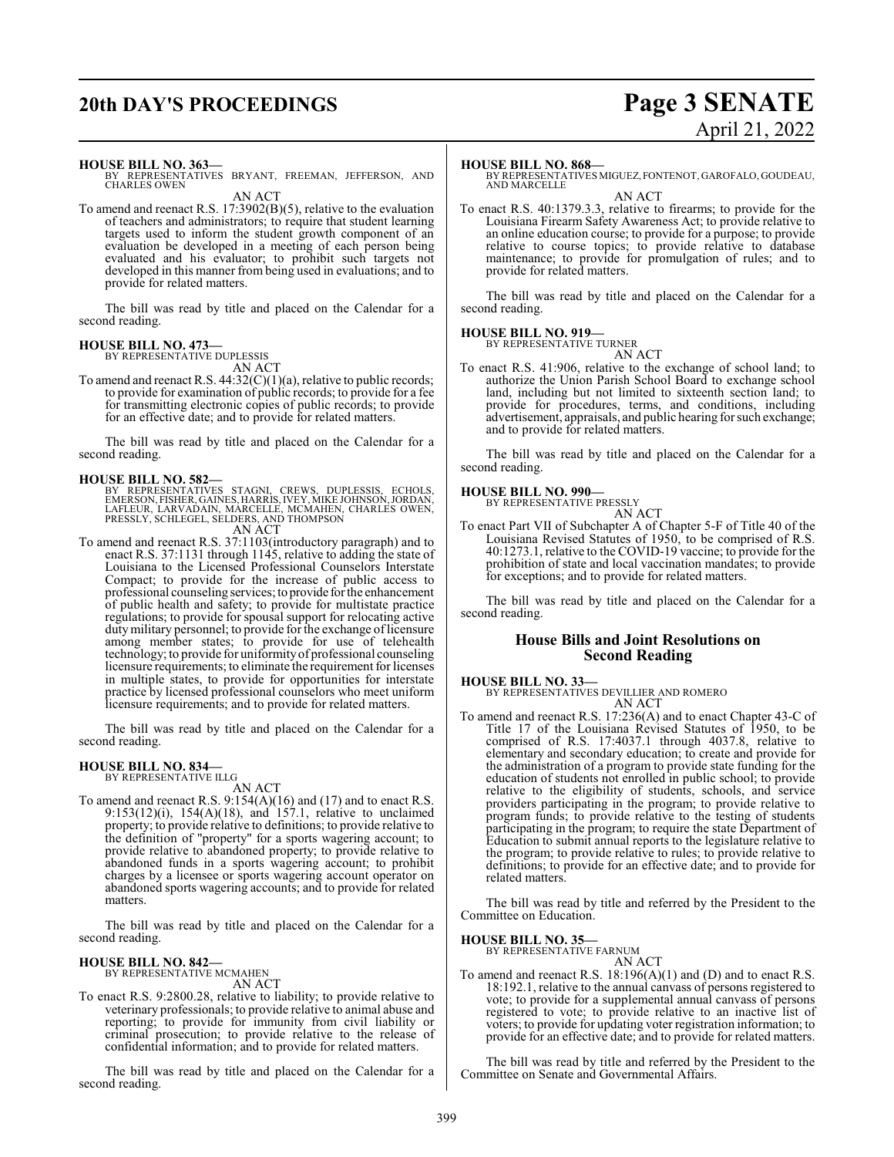# **20th DAY'S PROCEEDINGS Page 3 SENATE**

# April 21, 2022

**HOUSE BILL NO. 363—**

BY REPRESENTATIVES BRYANT, FREEMAN, JEFFERSON, AND CHARLES OWEN AN ACT

To amend and reenact R.S. 17:3902(B)(5), relative to the evaluation of teachers and administrators; to require that student learning targets used to inform the student growth component of an evaluation be developed in a meeting of each person being evaluated and his evaluator; to prohibit such targets not developed in this manner from being used in evaluations; and to provide for related matters.

The bill was read by title and placed on the Calendar for a second reading.

# **HOUSE BILL NO. 473—** BY REPRESENTATIVE DUPLESSIS

AN ACT

To amend and reenact R.S.  $44:32(C)(1)(a)$ , relative to public records; to provide for examination of public records; to provide for a fee for transmitting electronic copies of public records; to provide for an effective date; and to provide for related matters.

The bill was read by title and placed on the Calendar for a second reading.

**HOUSE BILL NO. 582—**<br>BY REPRESENTATIVES STAGNI, CREWS, DUPLESSIS, ECHOLS, EMERSON, FISHER, GAINES, HARRIS, IVEY, MIKE JOHNSON, JORDAN,<br>LAFLEUR, LARVADAIN, MARCELLE, MCMAHEN, CHARLES OWEN,<br>PRESSLY, SCHLEGEL, SELDERS, AND T

AN ACT

To amend and reenact R.S. 37:1103(introductory paragraph) and to enact R.S. 37:1131 through 1145, relative to adding the state of Louisiana to the Licensed Professional Counselors Interstate Compact; to provide for the increase of public access to professional counseling services; to provide forthe enhancement of public health and safety; to provide for multistate practice regulations; to provide for spousal support for relocating active duty military personnel; to provide for the exchange of licensure among member states; to provide for use of telehealth technology; to provide for uniformityof professional counseling licensure requirements; to eliminate the requirement for licenses in multiple states, to provide for opportunities for interstate practice by licensed professional counselors who meet uniform licensure requirements; and to provide for related matters.

The bill was read by title and placed on the Calendar for a second reading.

# **HOUSE BILL NO. 834—** BY REPRESENTATIVE ILLG

AN ACT

To amend and reenact R.S. 9:154(A)(16) and (17) and to enact R.S. 9:153(12)(i), 154(A)(18), and 157.1, relative to unclaimed property; to provide relative to definitions; to provide relative to the definition of "property" for a sports wagering account; to provide relative to abandoned property; to provide relative to abandoned funds in a sports wagering account; to prohibit charges by a licensee or sports wagering account operator on abandoned sports wagering accounts; and to provide for related matters.

The bill was read by title and placed on the Calendar for a second reading.

**HOUSE BILL NO. 842—** BY REPRESENTATIVE MCMAHEN AN ACT

To enact R.S. 9:2800.28, relative to liability; to provide relative to veterinary professionals; to provide relative to animal abuse and reporting; to provide for immunity from civil liability or criminal prosecution; to provide relative to the release of confidential information; and to provide for related matters.

The bill was read by title and placed on the Calendar for a second reading.

#### **HOUSE BILL NO. 868—**

BY REPRESENTATIVES MIGUEZ, FONTENOT, GAROFALO, GOUDEAU, AND MARCELLE

AN ACT

To enact R.S. 40:1379.3.3, relative to firearms; to provide for the Louisiana Firearm Safety Awareness Act; to provide relative to an online education course; to provide for a purpose; to provide relative to course topics; to provide relative to database maintenance; to provide for promulgation of rules; and to provide for related matters.

The bill was read by title and placed on the Calendar for a second reading.

# **HOUSE BILL NO. 919—** BY REPRESENTATIVE TURNER

AN ACT

To enact R.S. 41:906, relative to the exchange of school land; to authorize the Union Parish School Board to exchange school land, including but not limited to sixteenth section land; to provide for procedures, terms, and conditions, including advertisement, appraisals, and public hearing for such exchange; and to provide for related matters.

The bill was read by title and placed on the Calendar for a second reading.

#### **HOUSE BILL NO. 990—**

BY REPRESENTATIVE PRESSLY

AN ACT To enact Part VII of Subchapter A of Chapter 5-F of Title 40 of the Louisiana Revised Statutes of 1950, to be comprised of R.S. 40:1273.1, relative to the COVID-19 vaccine; to provide for the prohibition of state and local vaccination mandates; to provide for exceptions; and to provide for related matters.

The bill was read by title and placed on the Calendar for a second reading.

## **House Bills and Joint Resolutions on Second Reading**

**HOUSE BILL NO. 33—**

BY REPRESENTATIVES DEVILLIER AND ROMERO AN ACT

To amend and reenact R.S. 17:236(A) and to enact Chapter 43-C of Title 17 of the Louisiana Revised Statutes of 1950, to be comprised of R.S. 17:4037.1 through 4037.8, relative to elementary and secondary education; to create and provide for the administration of a program to provide state funding for the education of students not enrolled in public school; to provide relative to the eligibility of students, schools, and service providers participating in the program; to provide relative to program funds; to provide relative to the testing of students participating in the program; to require the state Department of Education to submit annual reports to the legislature relative to the program; to provide relative to rules; to provide relative to definitions; to provide for an effective date; and to provide for related matters.

The bill was read by title and referred by the President to the Committee on Education.

#### **HOUSE BILL NO. 35—**

BY REPRESENTATIVE FARNUM AN ACT

To amend and reenact R.S. 18:196(A)(1) and (D) and to enact R.S. 18:192.1, relative to the annual canvass of persons registered to vote; to provide for a supplemental annual canvass of persons registered to vote; to provide relative to an inactive list of voters; to provide for updating voter registration information; to provide for an effective date; and to provide for related matters.

The bill was read by title and referred by the President to the Committee on Senate and Governmental Affairs.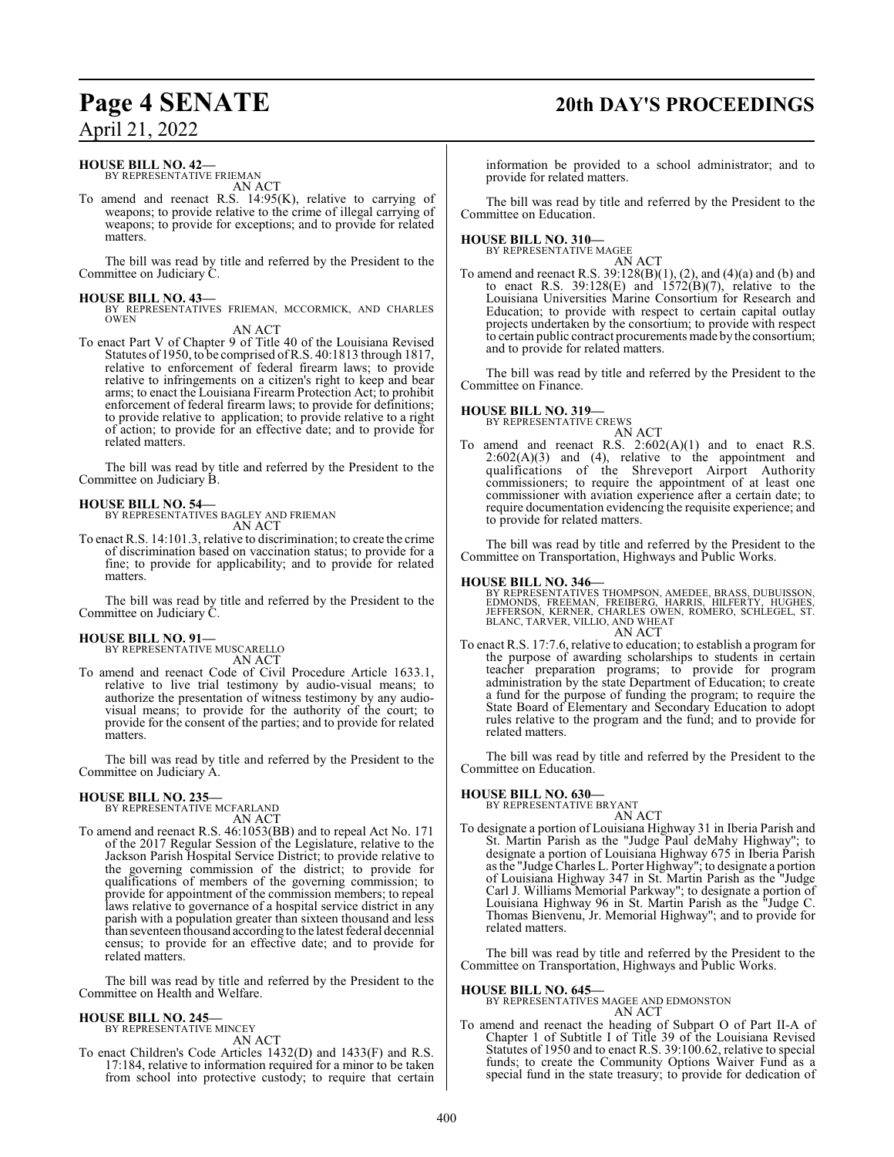# **Page 4 SENATE 20th DAY'S PROCEEDINGS**

April 21, 2022

#### **HOUSE BILL NO. 42—**

BY REPRESENTATIVE FRIEMAN AN ACT

To amend and reenact R.S. 14:95(K), relative to carrying of weapons; to provide relative to the crime of illegal carrying of weapons; to provide for exceptions; and to provide for related matters.

The bill was read by title and referred by the President to the Committee on Judiciary C.

**HOUSE BILL NO. 43—** BY REPRESENTATIVES FRIEMAN, MCCORMICK, AND CHARLES OWEN

AN ACT

To enact Part V of Chapter 9 of Title 40 of the Louisiana Revised Statutes of 1950, to be comprised ofR.S. 40:1813 through 1817, relative to enforcement of federal firearm laws; to provide relative to infringements on a citizen's right to keep and bear arms; to enact the Louisiana Firearm Protection Act; to prohibit enforcement of federal firearm laws; to provide for definitions; to provide relative to application; to provide relative to a right of action; to provide for an effective date; and to provide for related matters.

The bill was read by title and referred by the President to the Committee on Judiciary B.

**HOUSE BILL NO. 54—** BY REPRESENTATIVES BAGLEY AND FRIEMAN

AN ACT

To enact R.S. 14:101.3, relative to discrimination; to create the crime of discrimination based on vaccination status; to provide for a fine; to provide for applicability; and to provide for related matters.

The bill was read by title and referred by the President to the Committee on Judiciary C.

#### **HOUSE BILL NO. 91—**

BY REPRESENTATIVE MUSCARELLO AN ACT

To amend and reenact Code of Civil Procedure Article 1633.1, relative to live trial testimony by audio-visual means; to authorize the presentation of witness testimony by any audiovisual means; to provide for the authority of the court; to provide for the consent of the parties; and to provide for related matters.

The bill was read by title and referred by the President to the Committee on Judiciary A.

#### **HOUSE BILL NO. 235—**

BY REPRESENTATIVE MCFARLAND AN ACT

To amend and reenact R.S. 46:1053(BB) and to repeal Act No. 171 of the 2017 Regular Session of the Legislature, relative to the Jackson Parish Hospital Service District; to provide relative to the governing commission of the district; to provide for qualifications of members of the governing commission; to provide for appointment of the commission members; to repeal laws relative to governance of a hospital service district in any parish with a population greater than sixteen thousand and less than seventeen thousand according to the latest federal decennial census; to provide for an effective date; and to provide for related matters.

The bill was read by title and referred by the President to the Committee on Health and Welfare.

#### **HOUSE BILL NO. 245—** BY REPRESENTATIVE MINCEY

AN ACT

To enact Children's Code Articles 1432(D) and 1433(F) and R.S. 17:184, relative to information required for a minor to be taken from school into protective custody; to require that certain information be provided to a school administrator; and to provide for related matters.

The bill was read by title and referred by the President to the Committee on Education.

#### **HOUSE BILL NO. 310—**

BY REPRESENTATIVE MAGEE AN ACT

To amend and reenact R.S. 39:128(B)(1), (2), and (4)(a) and (b) and to enact R.S.  $39:128(E)$  and  $1572(B)(7)$ , relative to the Louisiana Universities Marine Consortium for Research and Education; to provide with respect to certain capital outlay projects undertaken by the consortium; to provide with respect to certain public contract procurements made by the consortium; and to provide for related matters.

The bill was read by title and referred by the President to the Committee on Finance.

#### **HOUSE BILL NO. 319—**

BY REPRESENTATIVE CREWS AN ACT

To amend and reenact R.S.  $2:602(A)(1)$  and to enact R.S.  $2:602(A)(3)$  and  $(4)$ , relative to the appointment and qualifications of the Shreveport Airport Authority commissioners; to require the appointment of at least one commissioner with aviation experience after a certain date; to require documentation evidencing the requisite experience; and to provide for related matters.

The bill was read by title and referred by the President to the Committee on Transportation, Highways and Public Works.

#### **HOUSE BILL NO. 346—**

BY REPRESENTATIVES THOMPSON, AMEDEE, BRASS, DUBUISSON,<br>EDMONDS, FREEMAN, FREIBERG, HARRIS, HILFERTY, HUGHES,<br>JEFFERSON, KERNER, CHARLES OWEN, ROMERO, SCHLEGEL, ST.<br>BLANC,TARVER, VILLIO, AND WHEAT AN ACT

To enact R.S. 17:7.6, relative to education; to establish a program for the purpose of awarding scholarships to students in certain teacher preparation programs; to provide for program administration by the state Department of Education; to create a fund for the purpose of funding the program; to require the State Board of Elementary and Secondary Education to adopt rules relative to the program and the fund; and to provide for related matters.

The bill was read by title and referred by the President to the Committee on Education.

**HOUSE BILL NO. 630—** BY REPRESENTATIVE BRYANT AN ACT

To designate a portion of Louisiana Highway 31 in Iberia Parish and St. Martin Parish as the "Judge Paul deMahy Highway"; to designate a portion of Louisiana Highway 675 in Iberia Parish as the "Judge Charles L. Porter Highway"; to designate a portion of Louisiana Highway 347 in St. Martin Parish as the "Judge Carl J. Williams Memorial Parkway"; to designate a portion of Louisiana Highway 96 in St. Martin Parish as the "Judge C. Thomas Bienvenu, Jr. Memorial Highway"; and to provide for related matters.

The bill was read by title and referred by the President to the Committee on Transportation, Highways and Public Works.

#### **HOUSE BILL NO. 645—**

BY REPRESENTATIVES MAGEE AND EDMONSTON

AN ACT To amend and reenact the heading of Subpart O of Part II-A of Chapter 1 of Subtitle I of Title 39 of the Louisiana Revised Statutes of 1950 and to enact R.S. 39:100.62, relative to special funds; to create the Community Options Waiver Fund as a special fund in the state treasury; to provide for dedication of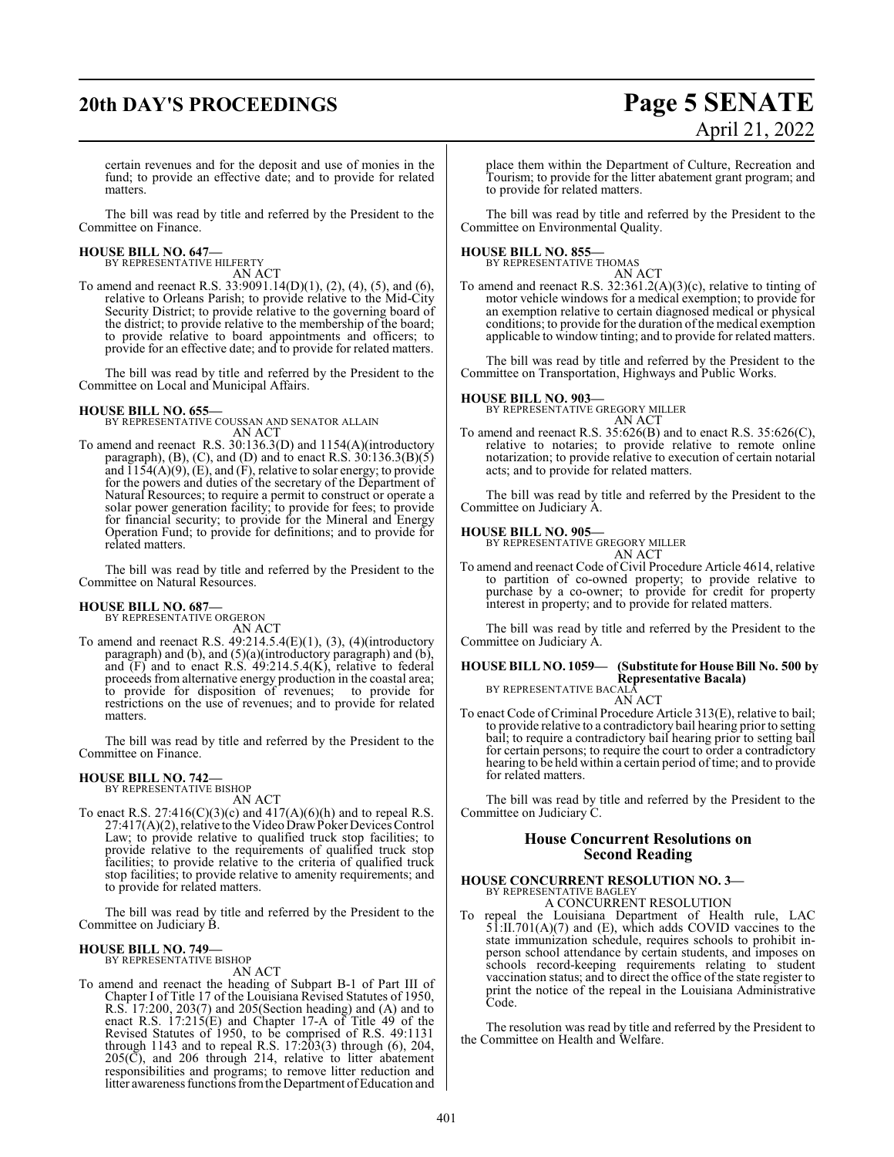# **20th DAY'S PROCEEDINGS Page 5 SENATE**

# April 21, 2022

certain revenues and for the deposit and use of monies in the fund; to provide an effective date; and to provide for related matters.

The bill was read by title and referred by the President to the Committee on Finance.

#### **HOUSE BILL NO. 647—** BY REPRESENTATIVE HILFERTY

AN ACT

To amend and reenact R.S.  $33:9091.14(D)(1)$ , (2), (4), (5), and (6), relative to Orleans Parish; to provide relative to the Mid-City Security District; to provide relative to the governing board of the district; to provide relative to the membership of the board; to provide relative to board appointments and officers; to provide for an effective date; and to provide for related matters.

The bill was read by title and referred by the President to the Committee on Local and Municipal Affairs.

**HOUSE BILL NO. 655—** BY REPRESENTATIVE COUSSAN AND SENATOR ALLAIN AN ACT

To amend and reenact R.S. 30:136.3(D) and 1154(A)(introductory paragraph), (B), (C), and (D) and to enact R.S.  $30:136.3(B)(5)$ and  $\overline{1154(A)(9)}$ , (E), and (F), relative to solar energy; to provide for the powers and duties of the secretary of the Department of Natural Resources; to require a permit to construct or operate a solar power generation facility; to provide for fees; to provide for financial security; to provide for the Mineral and Energy Operation Fund; to provide for definitions; and to provide for related matters.

The bill was read by title and referred by the President to the Committee on Natural Resources.

**HOUSE BILL NO. 687—** BY REPRESENTATIVE ORGERON

AN ACT

To amend and reenact R.S.  $49:214.5.4(E)(1)$ ,  $(3)$ ,  $(4)$ (introductory paragraph) and (b), and (5)(a)(introductory paragraph) and (b), and (F) and to enact R.S. 49:214.5.4(K), relative to federal proceeds from alternative energy production in the coastal area; to provide for disposition of revenues; to provide for restrictions on the use of revenues; and to provide for related matters.

The bill was read by title and referred by the President to the Committee on Finance.

# **HOUSE BILL NO. 742—** BY REPRESENTATIVE BISHOP

AN ACT

To enact R.S.  $27:416(C)(3)(c)$  and  $417(A)(6)(h)$  and to repeal R.S. 27:417(A)(2), relative to the Video DrawPoker Devices Control Law; to provide relative to qualified truck stop facilities; to provide relative to the requirements of qualified truck stop facilities; to provide relative to the criteria of qualified truck stop facilities; to provide relative to amenity requirements; and to provide for related matters.

The bill was read by title and referred by the President to the Committee on Judiciary B.

# **HOUSE BILL NO. 749—** BY REPRESENTATIVE BISHOP

AN ACT

To amend and reenact the heading of Subpart B-1 of Part III of Chapter I of Title 17 of the Louisiana Revised Statutes of 1950, R.S. 17:200, 203(7) and 205(Section heading) and (A) and to enact R.S. 17:215(E) and Chapter 17-A of Title 49 of the Revised Statutes of 1950, to be comprised of R.S. 49:1131 through 1143 and to repeal R.S. 17:203(3) through (6), 204,  $205(\overrightarrow{C})$ , and  $206$  through 214, relative to litter abatement responsibilities and programs; to remove litter reduction and litter awareness functions from the Department of Education and place them within the Department of Culture, Recreation and Tourism; to provide for the litter abatement grant program; and to provide for related matters.

The bill was read by title and referred by the President to the Committee on Environmental Quality.

#### **HOUSE BILL NO. 855—**

BY REPRESENTATIVE THOMAS AN ACT

To amend and reenact R.S. 32:361.2(A)(3)(c), relative to tinting of motor vehicle windows for a medical exemption; to provide for an exemption relative to certain diagnosed medical or physical conditions; to provide for the duration of the medical exemption applicable to window tinting; and to provide for related matters.

The bill was read by title and referred by the President to the Committee on Transportation, Highways and Public Works.

**HOUSE BILL NO. 903—** BY REPRESENTATIVE GREGORY MILLER AN ACT

To amend and reenact R.S. 35:626(B) and to enact R.S. 35:626(C), relative to notaries; to provide relative to remote online notarization; to provide relative to execution of certain notarial acts; and to provide for related matters.

The bill was read by title and referred by the President to the Committee on Judiciary A.

#### **HOUSE BILL NO. 905—**

BY REPRESENTATIVE GREGORY MILLER AN ACT

To amend and reenact Code of Civil Procedure Article 4614, relative to partition of co-owned property; to provide relative to purchase by a co-owner; to provide for credit for property interest in property; and to provide for related matters.

The bill was read by title and referred by the President to the Committee on Judiciary A.

**HOUSE BILL NO. 1059— (Substitute for House Bill No. 500 by Representative Bacala)** BY REPRESENTATIVE BACALA

## AN ACT

To enact Code of Criminal Procedure Article 313(E), relative to bail; to provide relative to a contradictory bail hearing prior to setting bail; to require a contradictory bail hearing prior to setting bail for certain persons; to require the court to order a contradictory hearing to be held within a certain period of time; and to provide for related matters.

The bill was read by title and referred by the President to the Committee on Judiciary C.

## **House Concurrent Resolutions on Second Reading**

## **HOUSE CONCURRENT RESOLUTION NO. 3—** BY REPRESENTATIVE BAGLEY A CONCURRENT RESOLUTION

To repeal the Louisiana Department of Health rule, LAC 51:II.701(A)(7) and (E), which adds COVID vaccines to the state immunization schedule, requires schools to prohibit inperson school attendance by certain students, and imposes on schools record-keeping requirements relating to student vaccination status; and to direct the office of the state register to print the notice of the repeal in the Louisiana Administrative Code.

The resolution was read by title and referred by the President to the Committee on Health and Welfare.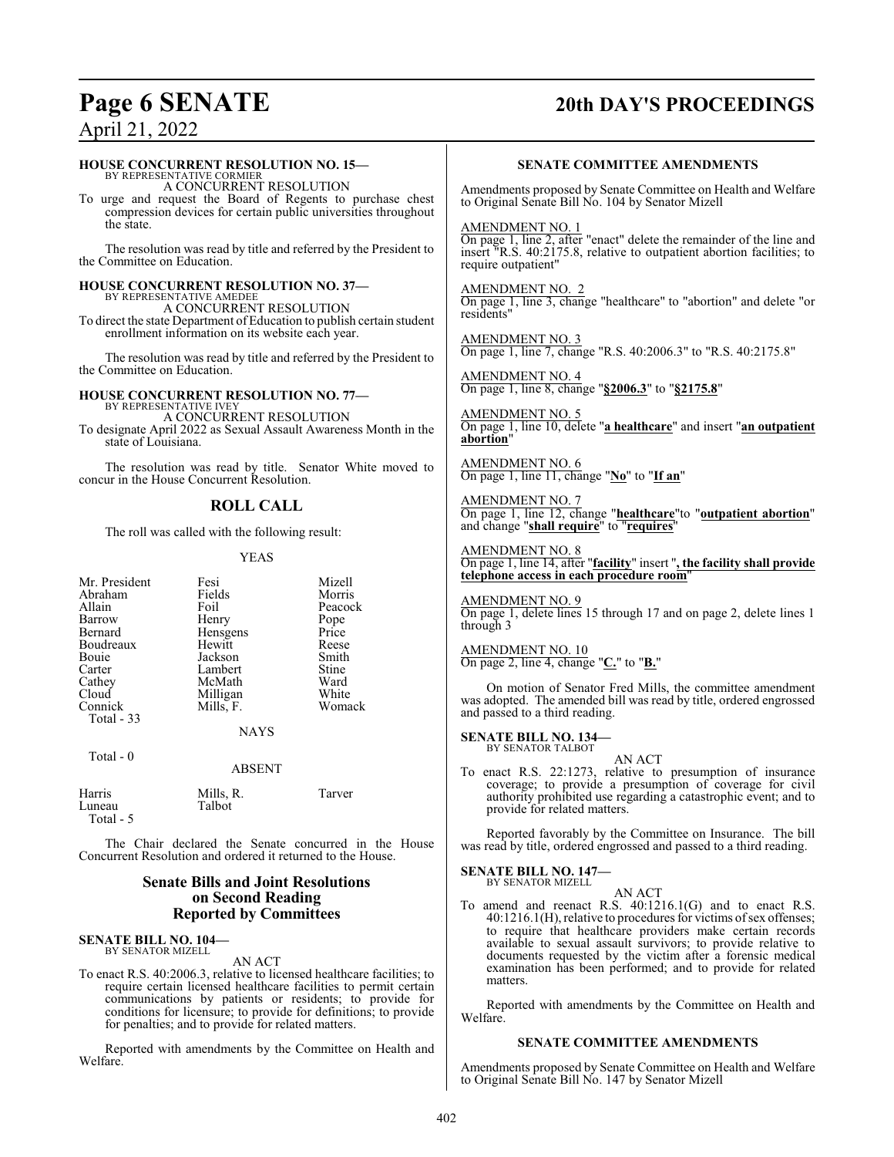# **Page 6 SENATE 20th DAY'S PROCEEDINGS**

## April 21, 2022

#### **HOUSE CONCURRENT RESOLUTION NO. 15—**

BY REPRESENTATIVE CORMIER A CONCURRENT RESOLUTION

To urge and request the Board of Regents to purchase chest compression devices for certain public universities throughout the state.

The resolution was read by title and referred by the President to the Committee on Education.

#### **HOUSE CONCURRENT RESOLUTION NO. 37—** BY REPRESENTATIVE AMEDEE

A CONCURRENT RESOLUTION

To direct the state Department ofEducation to publish certain student enrollment information on its website each year.

The resolution was read by title and referred by the President to the Committee on Education.

#### **HOUSE CONCURRENT RESOLUTION NO. 77—** BY REPRESENTATIVE IVEY

A CONCURRENT RESOLUTION To designate April 2022 as Sexual Assault Awareness Month in the state of Louisiana.

The resolution was read by title. Senator White moved to concur in the House Concurrent Resolution.

## **ROLL CALL**

The roll was called with the following result:

#### YEAS

| Mr. President<br>Abraham<br>Allain<br>Barrow<br>Bernard<br>Boudreaux<br><b>Bouje</b><br>Carter<br>Cathey | Fesi<br>Fields<br>Foil<br>Henry<br>Hensgens<br>Hewitt<br>Jackson<br>Lambert<br>McMath | Mizell<br>Morris<br>Peacock<br>Pope<br>Price<br>Reese<br>Smith<br>Stine<br>Ward<br>White |
|----------------------------------------------------------------------------------------------------------|---------------------------------------------------------------------------------------|------------------------------------------------------------------------------------------|
| Cloud<br>Connick                                                                                         | Milligan<br>Mills, F.                                                                 | Womack                                                                                   |
| Total - 33                                                                                               |                                                                                       |                                                                                          |
|                                                                                                          | <b>NAYS</b>                                                                           |                                                                                          |
| Total $-0$                                                                                               | ABSENT                                                                                |                                                                                          |

| Harris<br>Luneau | Mills, R.<br>Talbot | Tarver |
|------------------|---------------------|--------|
| Total - 5        |                     |        |

The Chair declared the Senate concurred in the House Concurrent Resolution and ordered it returned to the House.

#### **Senate Bills and Joint Resolutions on Second Reading Reported by Committees**

#### **SENATE BILL NO. 104—** BY SENATOR MIZELL

AN ACT

To enact R.S. 40:2006.3, relative to licensed healthcare facilities; to require certain licensed healthcare facilities to permit certain communications by patients or residents; to provide for conditions for licensure; to provide for definitions; to provide for penalties; and to provide for related matters.

Reported with amendments by the Committee on Health and Welfare.

#### **SENATE COMMITTEE AMENDMENTS**

Amendments proposed by Senate Committee on Health and Welfare to Original Senate Bill No. 104 by Senator Mizell

#### AMENDMENT NO. 1

On page 1, line 2, after "enact" delete the remainder of the line and insert "R.S. 40:2175.8, relative to outpatient abortion facilities; to require outpatient"

#### AMENDMENT NO. 2

On page 1, line 3, change "healthcare" to "abortion" and delete "or residents"

AMENDMENT NO. 3 On page 1, line 7, change "R.S. 40:2006.3" to "R.S. 40:2175.8"

AMENDMENT NO. 4 On page 1, line 8, change "**§2006.3**" to "**§2175.8**"

AMENDMENT NO. 5 On page 1, line 10, delete "**a healthcare**" and insert "**an outpatient abortion**"

AMENDMENT NO. 6 On page 1, line 11, change "**No**" to "**If an**"

AMENDMENT NO. 7 On page 1, line 12, change "**healthcare**"to "**outpatient abortion**" and change "**shall require**" to "**requires**"

AMENDMENT NO. 8 On page 1, line 14, after "**facility**" insert "**, the facility shall provide telephone access in each procedure room**"

AMENDMENT NO. 9 On page 1, delete lines 15 through 17 and on page 2, delete lines 1 through 3

AMENDMENT NO. 10 On page 2, line 4, change "**C.**" to "**B.**"

On motion of Senator Fred Mills, the committee amendment was adopted. The amended bill was read by title, ordered engrossed and passed to a third reading.

#### **SENATE BILL NO. 134—** BY SENATOR TALBOT

AN ACT To enact R.S. 22:1273, relative to presumption of insurance coverage; to provide a presumption of coverage for civil authority prohibited use regarding a catastrophic event; and to provide for related matters.

Reported favorably by the Committee on Insurance. The bill was read by title, ordered engrossed and passed to a third reading.

#### **SENATE BILL NO. 147—**

BY SENATOR MIZELL AN ACT

To amend and reenact R.S. 40:1216.1(G) and to enact R.S. 40:1216.1(H), relative to procedures for victims of sex offenses; to require that healthcare providers make certain records available to sexual assault survivors; to provide relative to documents requested by the victim after a forensic medical examination has been performed; and to provide for related matters.

Reported with amendments by the Committee on Health and Welfare.

#### **SENATE COMMITTEE AMENDMENTS**

Amendments proposed by Senate Committee on Health and Welfare to Original Senate Bill No. 147 by Senator Mizell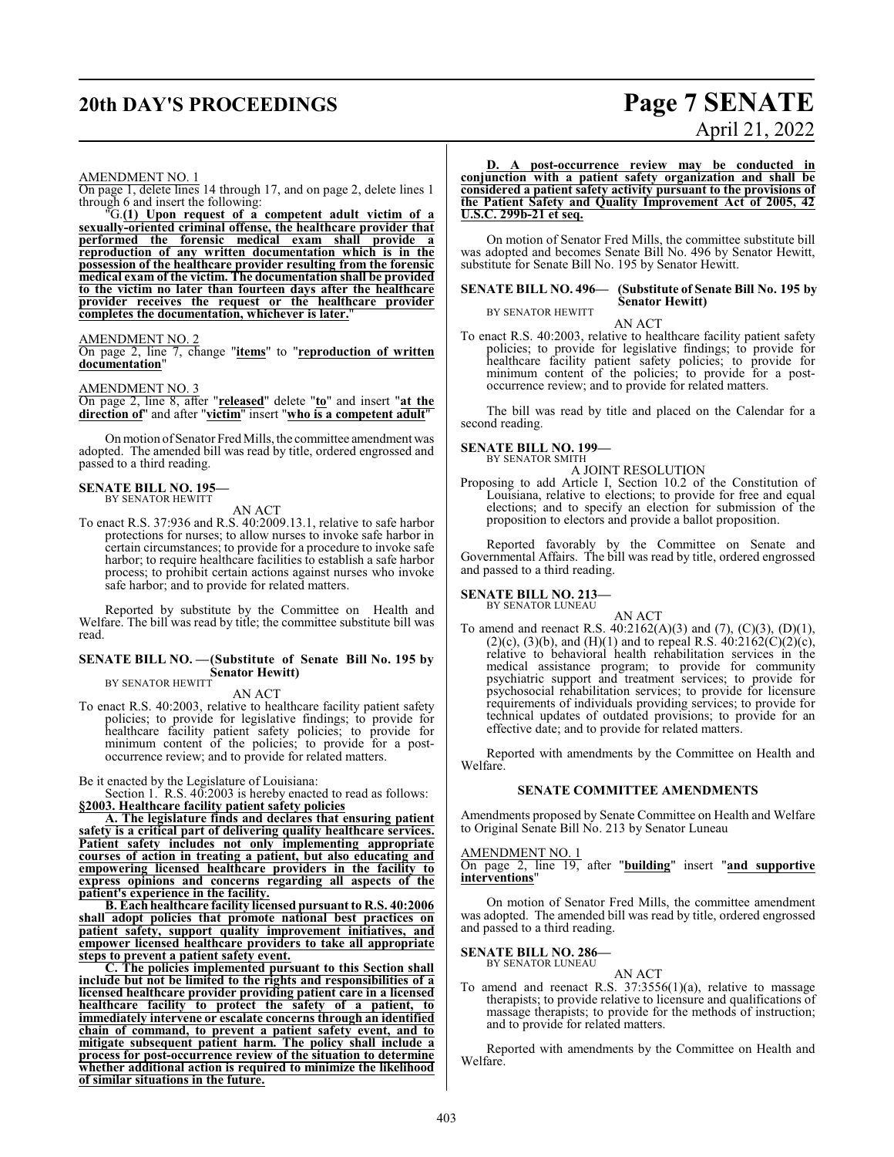# **20th DAY'S PROCEEDINGS Page 7 SENATE**

# April 21, 2022

#### AMENDMENT NO. 1

On page 1, delete lines 14 through 17, and on page 2, delete lines 1 through 6 and insert the following:

"G.**(1) Upon request of a competent adult victim of a sexually-oriented criminal offense, the healthcare provider that performed the forensic medical exam shall provide a reproduction of any written documentation which is in the possession of the healthcare provider resulting from the forensic medical exam of the victim. The documentation shall be provided to the victim no later than fourteen days after the healthcare provider receives the request or the healthcare provider completes the documentation, whichever is later.**"

#### AMENDMENT NO. 2

On page 2, line 7, change "**items**" to "**reproduction of written documentation**"

#### AMENDMENT NO. 3

On page 2, line 8, after "**released**" delete "**to**" and insert "**at the direction of**" and after "**victim**" insert "**who is a competent adult**"

On motion of Senator Fred Mills, the committee amendment was adopted. The amended bill was read by title, ordered engrossed and passed to a third reading.

#### **SENATE BILL NO. 195—** BY SENATOR HEWITT

AN ACT

To enact R.S. 37:936 and R.S. 40:2009.13.1, relative to safe harbor protections for nurses; to allow nurses to invoke safe harbor in certain circumstances; to provide for a procedure to invoke safe harbor; to require healthcare facilities to establish a safe harbor process; to prohibit certain actions against nurses who invoke safe harbor; and to provide for related matters.

Reported by substitute by the Committee on Health and Welfare. The bill was read by title; the committee substitute bill was read.

#### **SENATE BILL NO. —(Substitute of Senate Bill No. 195 by Senator Hewitt)** BY SENATOR HEWITT

AN ACT

To enact R.S. 40:2003, relative to healthcare facility patient safety policies; to provide for legislative findings; to provide for healthcare facility patient safety policies; to provide for minimum content of the policies; to provide for a postoccurrence review; and to provide for related matters.

Be it enacted by the Legislature of Louisiana:

Section 1. R.S.  $40.2003$  is hereby enacted to read as follows: **§2003. Healthcare facility patient safety policies**

**A. The legislature finds and declares that ensuring patient safety is a critical part of delivering quality healthcare services. Patient safety includes not only implementing appropriate courses of action in treating a patient, but also educating and empowering licensed healthcare providers in the facility to express opinions and concerns regarding all aspects of the patient's experience in the facility.**

**B. Each healthcare facility licensed pursuant to R.S. 40:2006 shall adopt policies that promote national best practices on patient safety, support quality improvement initiatives, and empower licensed healthcare providers to take all appropriate steps to prevent a patient safety event.**

**C. The policies implemented pursuant to this Section shall include but not be limited to the rights and responsibilities of a licensed healthcare provider providing patient care in a licensed healthcare facility to protect the safety of a patient, to immediately intervene or escalate concerns through an identified chain of command, to prevent a patient safety event, and to mitigate subsequent patient harm. The policy shall include a process for post-occurrence review of the situation to determine whether additional action is required to minimize the likelihood of similar situations in the future.**

#### **D. A post-occurrence review may be conducted in conjunction with a patient safety organization and shall be considered a patient safety activity pursuant to the provisions of the Patient Safety and Quality Improvement Act of 2005, 42 U.S.C. 299b-21 et seq.**

On motion of Senator Fred Mills, the committee substitute bill was adopted and becomes Senate Bill No. 496 by Senator Hewitt, substitute for Senate Bill No. 195 by Senator Hewitt.

#### **SENATE BILL NO. 496— (Substitute of Senate Bill No. 195 by Senator Hewitt)** BY SENATOR HEWITT

AN ACT

To enact R.S. 40:2003, relative to healthcare facility patient safety policies; to provide for legislative findings; to provide for healthcare facility patient safety policies; to provide for minimum content of the policies; to provide for a postoccurrence review; and to provide for related matters.

The bill was read by title and placed on the Calendar for a second reading.

#### **SENATE BILL NO. 199—** BY SENATOR SMITH

A JOINT RESOLUTION

Proposing to add Article I, Section 10.2 of the Constitution of Louisiana, relative to elections; to provide for free and equal elections; and to specify an election for submission of the proposition to electors and provide a ballot proposition.

Reported favorably by the Committee on Senate and Governmental Affairs. The bill was read by title, ordered engrossed and passed to a third reading.

# **SENATE BILL NO. 213—** BY SENATOR LUNEAU

AN ACT To amend and reenact R.S.  $40:2162(A)(3)$  and  $(7)$ ,  $(C)(3)$ ,  $(D)(1)$ ,  $(2)(c)$ ,  $(3)(b)$ , and  $(H)(1)$  and to repeal R.S.  $40:2162(C)(2)(c)$ , relative to behavioral health rehabilitation services in the medical assistance program; to provide for community psychiatric support and treatment services; to provide for psychosocial rehabilitation services; to provide for licensure requirements of individuals providing services; to provide for technical updates of outdated provisions; to provide for an effective date; and to provide for related matters.

Reported with amendments by the Committee on Health and Welfare.

#### **SENATE COMMITTEE AMENDMENTS**

Amendments proposed by Senate Committee on Health and Welfare to Original Senate Bill No. 213 by Senator Luneau

#### AMENDMENT NO. 1

On page 2, line 19, after "**building**" insert "**and supportive interventions**"

On motion of Senator Fred Mills, the committee amendment was adopted. The amended bill was read by title, ordered engrossed and passed to a third reading.

#### **SENATE BILL NO. 286—**

BY SENATOR LUNEAU AN ACT

To amend and reenact R.S. 37:3556(1)(a), relative to massage therapists; to provide relative to licensure and qualifications of massage therapists; to provide for the methods of instruction; and to provide for related matters.

Reported with amendments by the Committee on Health and Welfare.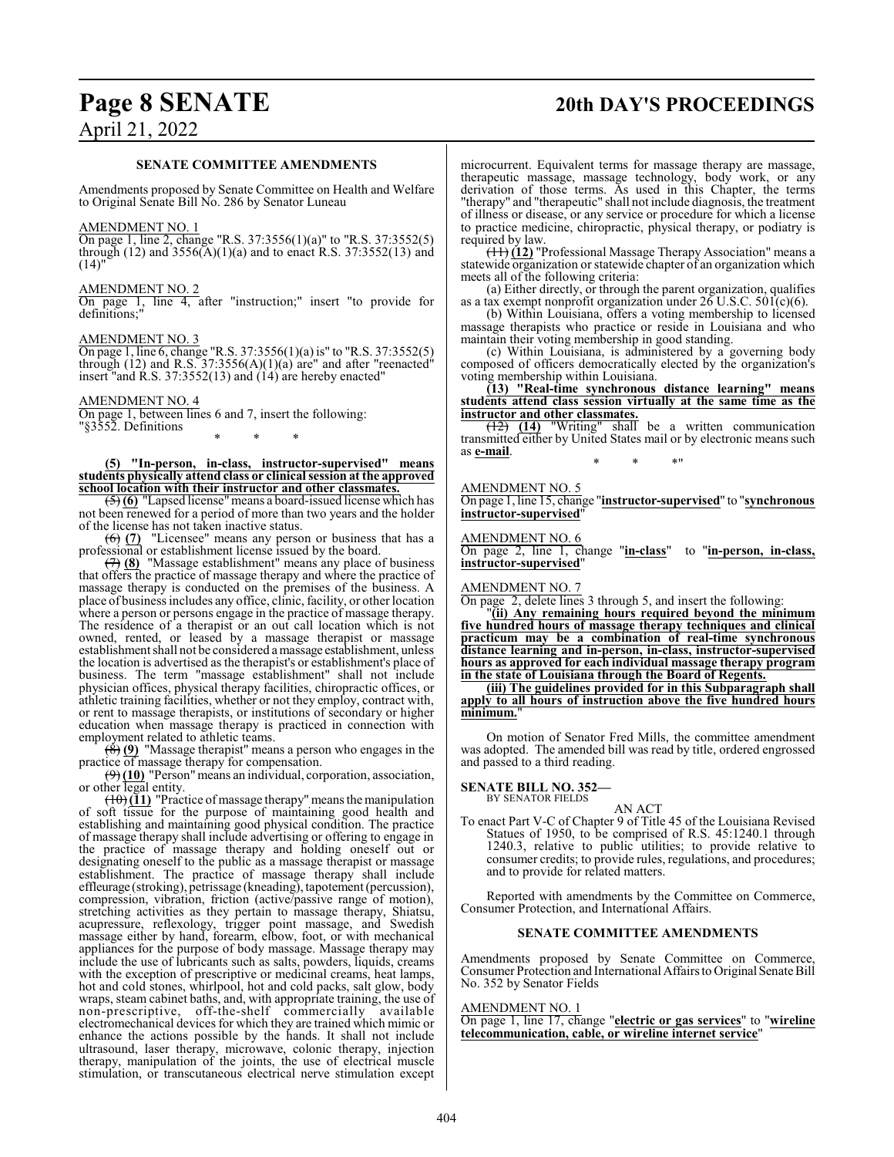# **Page 8 SENATE 20th DAY'S PROCEEDINGS**

# April 21, 2022

#### **SENATE COMMITTEE AMENDMENTS**

Amendments proposed by Senate Committee on Health and Welfare to Original Senate Bill No. 286 by Senator Luneau

#### AMENDMENT NO. 1

On page 1, line 2, change "R.S. 37:3556(1)(a)" to "R.S. 37:3552(5) through (12) and  $3556(A)(1)(a)$  and to enact R.S. 37:3552(13) and  $(14)'$ 

#### AMENDMENT NO. 2

On page 1, line 4, after "instruction;" insert "to provide for definitions;"

#### AMENDMENT NO. 3

On page 1, line 6, change "R.S. 37:3556(1)(a) is" to "R.S. 37:3552(5) through  $(12)$  and R.S. 37:3556 $(A)(1)(a)$  are" and after "reenacted" insert "and R.S. 37:3552(13) and (14) are hereby enacted"

#### AMENDMENT NO. 4

On page 1, between lines 6 and 7, insert the following: "§3552. Definitions \* \* \*

**(5) "In-person, in-class, instructor-supervised" means students physically attend class or clinical session at the approved school location with their instructor and other classmates.**

(5) **(6)** "Lapsed license"means a board-issued license which has not been renewed for a period of more than two years and the holder of the license has not taken inactive status.

(6) **(7)** "Licensee" means any person or business that has a professional or establishment license issued by the board.

(7) **(8)** "Massage establishment" means any place of business that offers the practice of massage therapy and where the practice of massage therapy is conducted on the premises of the business. A place of business includes any office, clinic, facility, or other location where a person or persons engage in the practice of massage therapy. The residence of a therapist or an out call location which is not owned, rented, or leased by a massage therapist or massage establishment shall not be considered a massage establishment, unless the location is advertised as the therapist's or establishment's place of business. The term "massage establishment" shall not include physician offices, physical therapy facilities, chiropractic offices, or athletic training facilities, whether or not they employ, contract with, or rent to massage therapists, or institutions of secondary or higher education when massage therapy is practiced in connection with employment related to athletic teams.

(8) **(9)** "Massage therapist" means a person who engages in the practice of massage therapy for compensation.

(9) **(10)** "Person"means an individual, corporation, association, or other legal entity.

 $(10)(11)$  "Practice of massage therapy" means the manipulation of soft tissue for the purpose of maintaining good health and establishing and maintaining good physical condition. The practice of massage therapy shall include advertising or offering to engage in the practice of massage therapy and holding oneself out or designating oneself to the public as a massage therapist or massage establishment. The practice of massage therapy shall include effleurage (stroking), petrissage (kneading), tapotement (percussion), compression, vibration, friction (active/passive range of motion), stretching activities as they pertain to massage therapy, Shiatsu, acupressure, reflexology, trigger point massage, and Swedish massage either by hand, forearm, elbow, foot, or with mechanical appliances for the purpose of body massage. Massage therapy may include the use of lubricants such as salts, powders, liquids, creams with the exception of prescriptive or medicinal creams, heat lamps, hot and cold stones, whirlpool, hot and cold packs, salt glow, body wraps, steam cabinet baths, and, with appropriate training, the use of non-prescriptive, off-the-shelf commercially available electromechanical devices for which they are trained which mimic or enhance the actions possible by the hands. It shall not include ultrasound, laser therapy, microwave, colonic therapy, injection therapy, manipulation of the joints, the use of electrical muscle stimulation, or transcutaneous electrical nerve stimulation except

microcurrent. Equivalent terms for massage therapy are massage, therapeutic massage, massage technology, body work, or any derivation of those terms. As used in this Chapter, the terms "therapy" and "therapeutic" shall not include diagnosis, the treatment of illness or disease, or any service or procedure for which a license to practice medicine, chiropractic, physical therapy, or podiatry is required by law.

(11) **(12)** "Professional Massage Therapy Association" means a statewide organization or statewide chapter of an organization which meets all of the following criteria:

(a) Either directly, or through the parent organization, qualifies as a tax exempt nonprofit organization under  $26$  U.S.C.  $501(c)(6)$ .

(b) Within Louisiana, offers a voting membership to licensed massage therapists who practice or reside in Louisiana and who maintain their voting membership in good standing.

(c) Within Louisiana, is administered by a governing body composed of officers democratically elected by the organization's voting membership within Louisiana.

**(13) "Real-time synchronous distance learning" means students attend class session virtually at the same time as the instructor and other classmates.**

(12) **(14)** "Writing" shall be a written communication transmitted either by United States mail or by electronic means such as **e-mail**. \* \* \*"

#### AMENDMENT NO. 5

On page 1, line 15, change "**instructor-supervised**" to "**synchronous instructor-supervised**"

#### AMENDMENT NO. 6

On page 2, line 1, change "**in-class**" to "**in-person, in-class, instructor-supervised**"

#### AMENDMENT NO. 7

On page 2, delete lines 3 through 5, and insert the following:

"**(ii) Any remaining hours required beyond the minimum five hundred hours of massage therapy techniques and clinical practicum may be a combination of real-time synchronous distance learning and in-person, in-class, instructor-supervised hours as approved for each individual massage therapy program in the state of Louisiana through the Board of Regents.**

**(iii) The guidelines provided for in this Subparagraph shall apply to all hours of instruction above the five hundred hours minimum.**"

On motion of Senator Fred Mills, the committee amendment was adopted. The amended bill was read by title, ordered engrossed and passed to a third reading.

#### **SENATE BILL NO. 352—**

BY SENATOR FIELDS

AN ACT

To enact Part V-C of Chapter 9 of Title 45 of the Louisiana Revised Statues of 1950, to be comprised of R.S. 45:1240.1 through 1240.3, relative to public utilities; to provide relative to consumer credits; to provide rules, regulations, and procedures; and to provide for related matters.

Reported with amendments by the Committee on Commerce, Consumer Protection, and International Affairs.

#### **SENATE COMMITTEE AMENDMENTS**

Amendments proposed by Senate Committee on Commerce, Consumer Protection and International Affairs to Original Senate Bill No. 352 by Senator Fields

#### AMENDMENT NO. 1

On page 1, line 17, change "**electric or gas services**" to "**wireline telecommunication, cable, or wireline internet service**"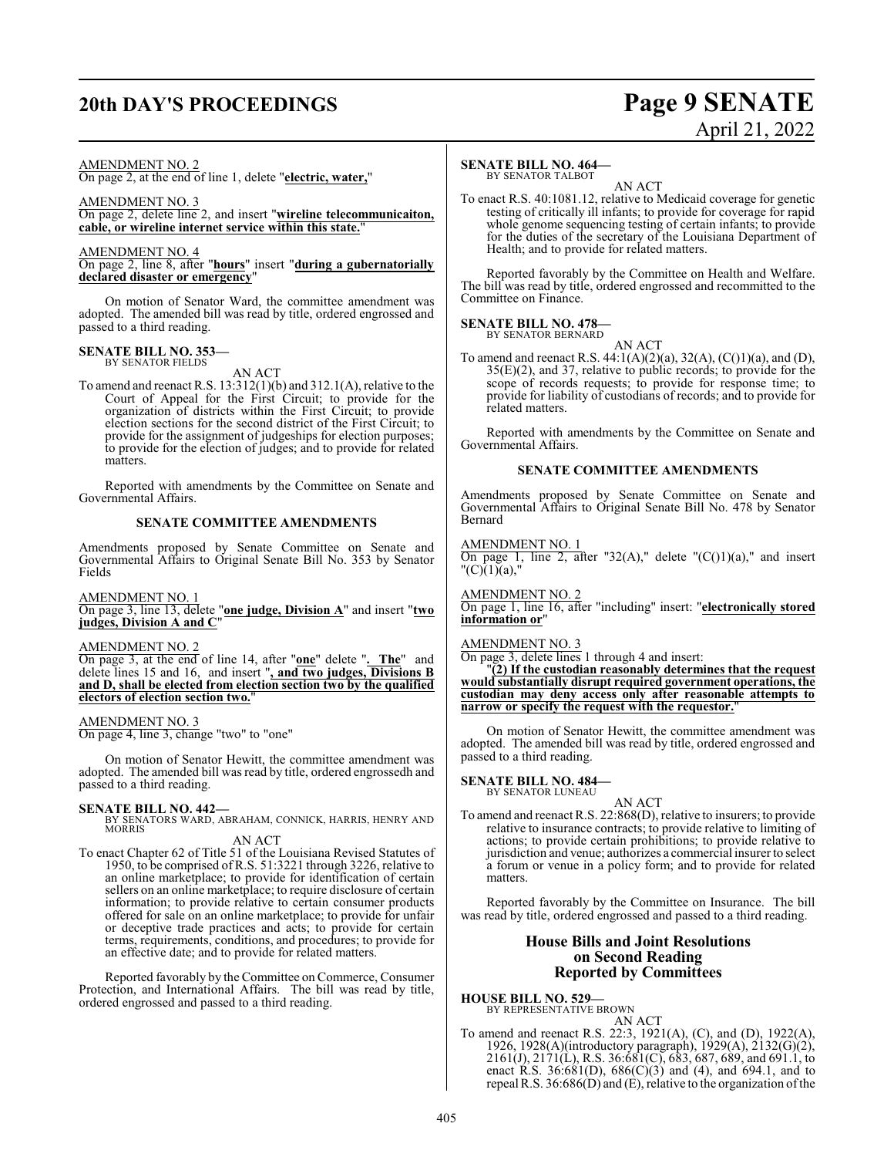# **20th DAY'S PROCEEDINGS Page 9 SENATE**

# April 21, 2022

#### AMENDMENT NO. 2

On page 2, at the end of line 1, delete "**electric, water,**"

### AMENDMENT NO. 3

On page 2, delete line 2, and insert "**wireline telecommunicaiton, cable, or wireline internet service within this state.**"

#### AMENDMENT NO. 4

On page 2, line 8, after "**hours**" insert "**during a gubernatorially declared disaster or emergency**"

On motion of Senator Ward, the committee amendment was adopted. The amended bill was read by title, ordered engrossed and passed to a third reading.

# **SENATE BILL NO. 353—** BY SENATOR FIELDS

AN ACT

To amend and reenact R.S. 13:312(1)(b) and 312.1(A), relative to the Court of Appeal for the First Circuit; to provide for the organization of districts within the First Circuit; to provide election sections for the second district of the First Circuit; to provide for the assignment of judgeships for election purposes; to provide for the election of judges; and to provide for related matters.

Reported with amendments by the Committee on Senate and Governmental Affairs.

#### **SENATE COMMITTEE AMENDMENTS**

Amendments proposed by Senate Committee on Senate and Governmental Affairs to Original Senate Bill No. 353 by Senator Fields

AMENDMENT NO. 1

On page 3, line 13, delete "**one judge, Division A**" and insert "**two judges, Division A and C**"

AMENDMENT NO. 2

On page 3, at the end of line 14, after "**one**" delete "**. The**" and delete lines 15 and 16, and insert "**, and two judges, Divisions B and D, shall be elected from election section two by the qualified electors of election section two.**"

AMENDMENT NO. 3 On page 4, line 3, change "two" to "one"

On motion of Senator Hewitt, the committee amendment was adopted. The amended bill was read by title, ordered engrossedh and passed to a third reading.

#### **SENATE BILL NO. 442—**

BY SENATORS WARD, ABRAHAM, CONNICK, HARRIS, HENRY AND MORRIS

#### AN ACT

To enact Chapter 62 of Title 51 of the Louisiana Revised Statutes of 1950, to be comprised of R.S. 51:3221 through 3226, relative to an online marketplace; to provide for identification of certain sellers on an online marketplace; to require disclosure of certain information; to provide relative to certain consumer products offered for sale on an online marketplace; to provide for unfair or deceptive trade practices and acts; to provide for certain terms, requirements, conditions, and procedures; to provide for an effective date; and to provide for related matters.

Reported favorably by the Committee on Commerce, Consumer Protection, and International Affairs. The bill was read by title, ordered engrossed and passed to a third reading.

#### **SENATE BILL NO. 464—**

BY SENATOR TALBOT AN ACT

To enact R.S. 40:1081.12, relative to Medicaid coverage for genetic testing of critically ill infants; to provide for coverage for rapid whole genome sequencing testing of certain infants; to provide for the duties of the secretary of the Louisiana Department of Health; and to provide for related matters.

Reported favorably by the Committee on Health and Welfare. The bill was read by title, ordered engrossed and recommitted to the Committee on Finance.

#### **SENATE BILL NO. 478—** BY SENATOR BERNARD

AN ACT

To amend and reenact R.S.  $44:1(A)(2)(a), 32(A), (C(1)(a), and (D),$ 35(E)(2), and 37, relative to public records; to provide for the scope of records requests; to provide for response time; to provide for liability of custodians of records; and to provide for related matters.

Reported with amendments by the Committee on Senate and Governmental Affairs.

#### **SENATE COMMITTEE AMENDMENTS**

Amendments proposed by Senate Committee on Senate and Governmental Affairs to Original Senate Bill No. 478 by Senator Bernard

#### AMENDMENT NO. 1

On page 1, line 2, after "32(A)," delete " $(C(1)(a)$ ," and insert  $C(1)(a)$ ,"

#### AMENDMENT NO. 2

On page 1, line 16, after "including" insert: "**electronically stored information or**"

#### AMENDMENT NO. 3

On page 3, delete lines 1 through 4 and insert:

"**(2) If the custodian reasonably determines that the request would substantially disrupt required government operations, the custodian may deny access only after reasonable attempts to narrow or specify the request with the requestor.**"

On motion of Senator Hewitt, the committee amendment was adopted. The amended bill was read by title, ordered engrossed and passed to a third reading.

#### **SENATE BILL NO. 484—** BY SENATOR LUNEAU

AN ACT To amend and reenact R.S. 22:868(D), relative to insurers; to provide relative to insurance contracts; to provide relative to limiting of actions; to provide certain prohibitions; to provide relative to jurisdiction and venue; authorizes a commercial insurer to select a forum or venue in a policy form; and to provide for related matters.

Reported favorably by the Committee on Insurance. The bill was read by title, ordered engrossed and passed to a third reading.

#### **House Bills and Joint Resolutions on Second Reading Reported by Committees**

**HOUSE BILL NO. 529—** BY REPRESENTATIVE BROWN

AN ACT To amend and reenact R.S. 22:3, 1921(A), (C), and (D), 1922(A), 1926, 1928(A)(introductory paragraph), 1929(A), 2132(G)(2), 2161(J), 2171(L), R.S. 36:681(C), 683, 687, 689, and 691.1, to enact R.S. 36:681(D), 686(C)(3) and (4), and 694.1, and to repeal R.S.  $36:686(D)$  and (E), relative to the organization of the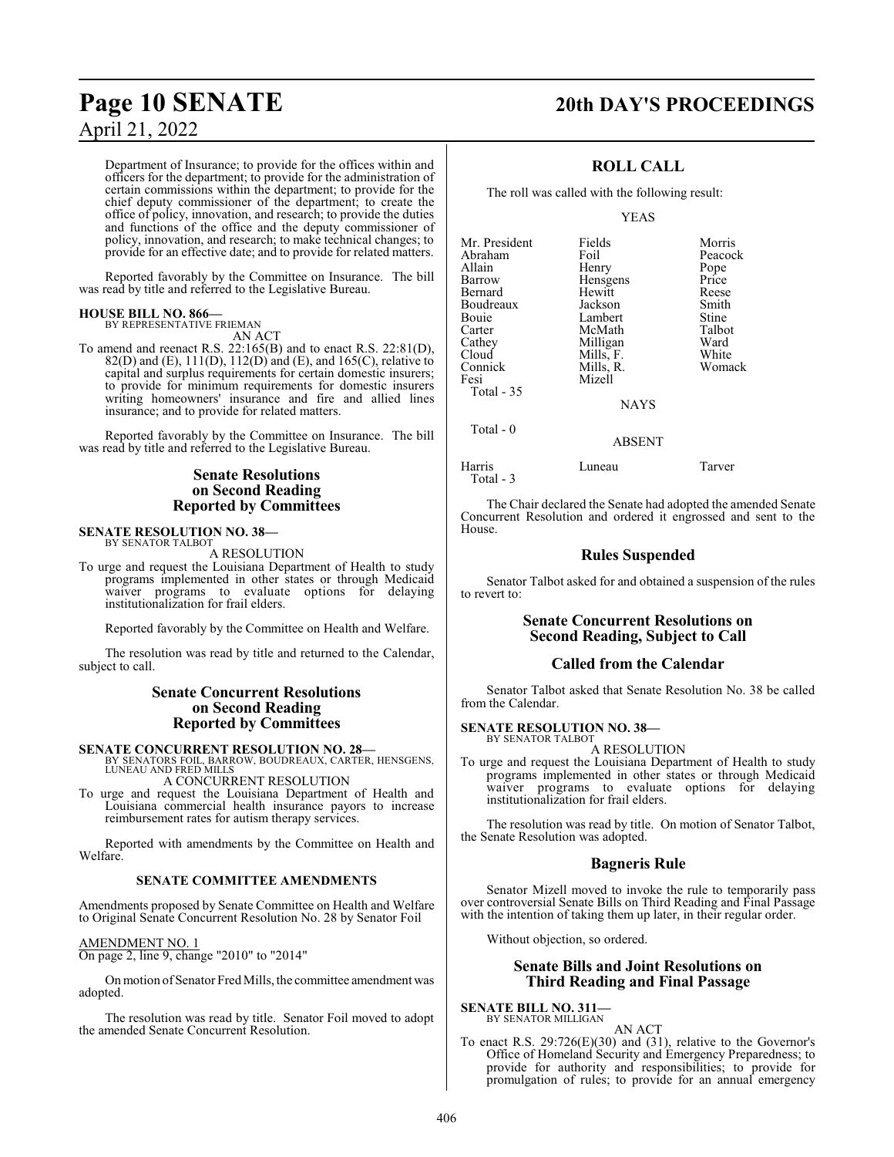# April 21, 2022

# **Page 10 SENATE 20th DAY'S PROCEEDINGS**

Department of Insurance; to provide for the offices within and officers for the department; to provide for the administration of certain commissions within the department; to provide for the chief deputy commissioner of the department; to create the office of policy, innovation, and research; to provide the duties and functions of the office and the deputy commissioner of policy, innovation, and research; to make technical changes; to provide for an effective date; and to provide for related matters.

Reported favorably by the Committee on Insurance. The bill was read by title and referred to the Legislative Bureau.

#### **HOUSE BILL NO. 866—**

BY REPRESENTATIVE FRIEMAN AN ACT

To amend and reenact R.S. 22:165(B) and to enact R.S. 22:81(D), 82(D) and (E),  $111(D)$ ,  $112(D)$  and (E), and  $165(C)$ , relative to capital and surplus requirements for certain domestic insurers; to provide for minimum requirements for domestic insurers writing homeowners' insurance and fire and allied lines insurance; and to provide for related matters.

Reported favorably by the Committee on Insurance. The bill was read by title and referred to the Legislative Bureau.

### **Senate Resolutions on Second Reading Reported by Committees**

#### **SENATE RESOLUTION NO. 38—** BY SENATOR TALBOT

A RESOLUTION

To urge and request the Louisiana Department of Health to study programs implemented in other states or through Medicaid waiver programs to evaluate options for delaying institutionalization for frail elders.

Reported favorably by the Committee on Health and Welfare.

The resolution was read by title and returned to the Calendar, subject to call.

#### **Senate Concurrent Resolutions on Second Reading Reported by Committees**

**SENATE CONCURRENT RESOLUTION NO. 28—**<br>BY SENATORS FOIL, BARROW, BOUDREAUX, CARTER, HENSGENS,<br>LUNEAU AND FRED MILLS

A CONCURRENT RESOLUTION

To urge and request the Louisiana Department of Health and Louisiana commercial health insurance payors to increase reimbursement rates for autism therapy services.

Reported with amendments by the Committee on Health and Welfare.

#### **SENATE COMMITTEE AMENDMENTS**

Amendments proposed by Senate Committee on Health and Welfare to Original Senate Concurrent Resolution No. 28 by Senator Foil

#### AMENDMENT NO. 1

On page 2, line 9, change "2010" to "2014"

Onmotion ofSenator Fred Mills, the committee amendment was adopted.

The resolution was read by title. Senator Foil moved to adopt the amended Senate Concurrent Resolution.

#### **ROLL CALL**

The roll was called with the following result:

YEAS

| Mr. President | Fields      | Morris       |
|---------------|-------------|--------------|
| Abraham       | Foil        | Peacock      |
| Allain        | Henry       | Pope         |
| Barrow        | Hensgens    | Price        |
| Bernard       | Hewitt      | Reese        |
| Boudreaux     | Jackson     | Smith        |
| Bouie         | Lambert     | <b>Stine</b> |
| Carter        | McMath      | Talbot       |
| Cathey        | Milligan    | Ward         |
| Cloud         | Mills, F.   | White        |
| Connick       | Mills, R.   | Womack       |
| Fesi          | Mizell      |              |
| Total - 35    |             |              |
|               | <b>NAYS</b> |              |
|               |             |              |

ABSENT

Harris Luneau Tarver Total - 3

Total - 0

The Chair declared the Senate had adopted the amended Senate Concurrent Resolution and ordered it engrossed and sent to the House.

## **Rules Suspended**

Senator Talbot asked for and obtained a suspension of the rules to revert to:

#### **Senate Concurrent Resolutions on Second Reading, Subject to Call**

#### **Called from the Calendar**

Senator Talbot asked that Senate Resolution No. 38 be called from the Calendar.

#### **SENATE RESOLUTION NO. 38—** BY SENATOR TALBOT

A RESOLUTION

To urge and request the Louisiana Department of Health to study programs implemented in other states or through Medicaid waiver programs to evaluate options for delaying institutionalization for frail elders.

The resolution was read by title. On motion of Senator Talbot, the Senate Resolution was adopted.

#### **Bagneris Rule**

Senator Mizell moved to invoke the rule to temporarily pass over controversial Senate Bills on Third Reading and Final Passage with the intention of taking them up later, in their regular order.

Without objection, so ordered.

#### **Senate Bills and Joint Resolutions on Third Reading and Final Passage**

**SENATE BILL NO. 311—** BY SENATOR MILLIGAN

AN ACT To enact R.S. 29:726(E)(30) and (31), relative to the Governor's Office of Homeland Security and Emergency Preparedness; to provide for authority and responsibilities; to provide for promulgation of rules; to provide for an annual emergency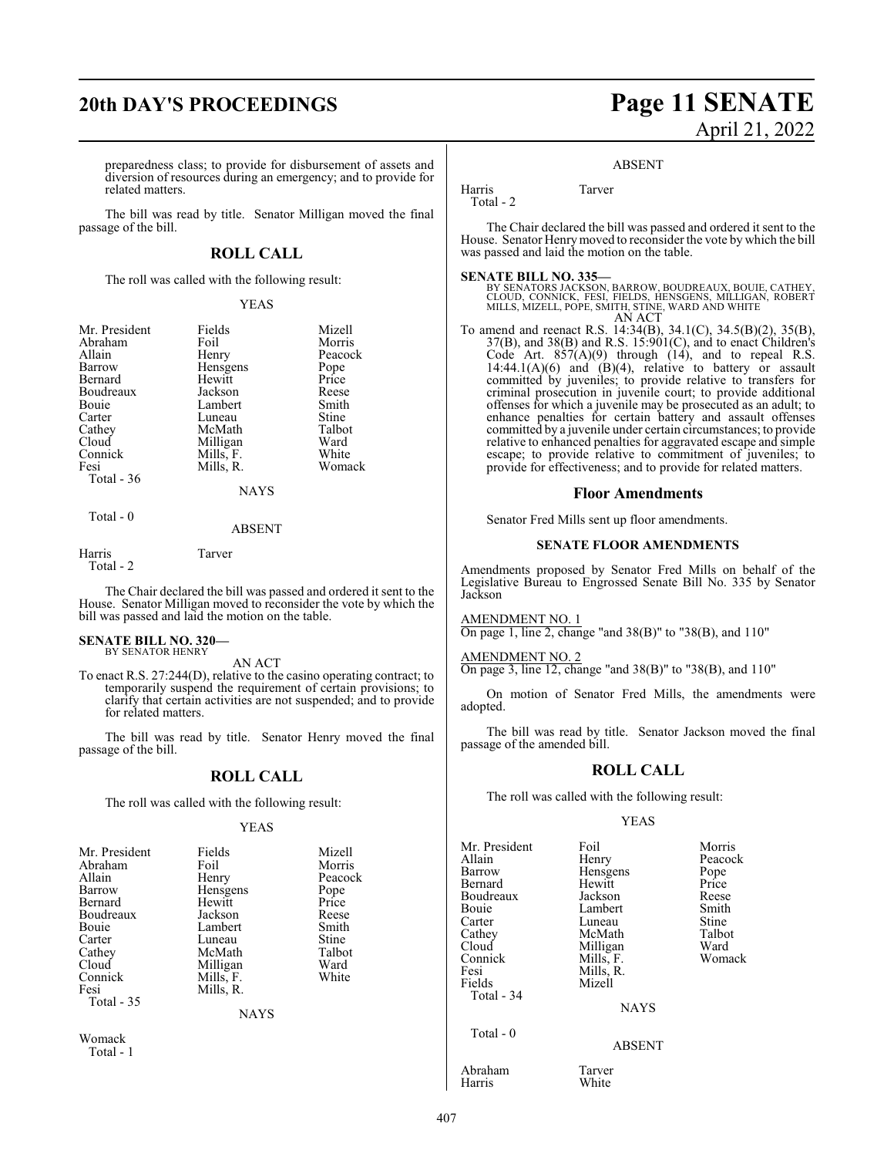preparedness class; to provide for disbursement of assets and diversion of resources during an emergency; and to provide for related matters.

The bill was read by title. Senator Milligan moved the final passage of the bill.

#### **ROLL CALL**

The roll was called with the following result:

#### YEAS

| Mr. President | Fields      | Mizell  |
|---------------|-------------|---------|
| Abraham       | Foil        | Morris  |
| Allain        | Henry       | Peacock |
| Barrow        | Hensgens    | Pope    |
| Bernard       | Hewitt      | Price   |
| Boudreaux     | Jackson     | Reese   |
| Bouie         | Lambert     | Smith   |
| Carter        | Luneau      | Stine   |
| Cathey        | McMath      | Talbot  |
| Cloud         | Milligan    | Ward    |
| Connick       | Mills, F.   | White   |
| Fesi          | Mills, R.   | Womack  |
| Total - 36    |             |         |
|               | <b>NAYS</b> |         |
| Total - 0     |             |         |

ABSENT

Harris Tarver

Total - 2

The Chair declared the bill was passed and ordered it sent to the House. Senator Milligan moved to reconsider the vote by which the bill was passed and laid the motion on the table.

# **SENATE BILL NO. 320—** BY SENATOR HENRY

AN ACT

To enact R.S. 27:244(D), relative to the casino operating contract; to temporarily suspend the requirement of certain provisions; to clarify that certain activities are not suspended; and to provide for related matters.

The bill was read by title. Senator Henry moved the final passage of the bill.

#### **ROLL CALL**

The roll was called with the following result:

#### YEAS

| Mr. President | Fields      | Mizell  |
|---------------|-------------|---------|
| Abraham       | Foil        | Morris  |
| Allain        | Henry       | Peacock |
| Barrow        | Hensgens    | Pope    |
| Bernard       | Hewitt      | Price   |
| Boudreaux     | Jackson     | Reese   |
| Bouie         | Lambert     | Smith   |
| Carter        | Luneau      | Stine   |
| Cathey        | McMath      | Talbot  |
| Cloud         | Milligan    | Ward    |
| Connick       | Mills, F.   | White   |
| Fesi          | Mills, R.   |         |
| Total - 35    |             |         |
|               | <b>NAYS</b> |         |
|               |             |         |

Womack Total - 1

# **20th DAY'S PROCEEDINGS Page 11 SENATE** April 21, 2022

#### ABSENT

Harris Tarver Total - 2

The Chair declared the bill was passed and ordered it sent to the House. Senator Henrymoved to reconsider the vote by which the bill was passed and laid the motion on the table.

#### **SENATE BILL NO. 335—**

BY SENATORS JACKSON, BARROW, BOUDREAUX, BOUIE, CATHEY,<br>CLOUD, CONNICK, FESI, FIELDS, HENSGENS, MILLIGAN, ROBERT<br>MILLS, MIZELL, POPE, SMITH, STINE, WARD AND WHITE AN ACT

To amend and reenact R.S. 14:34(B), 34.1(C), 34.5(B)(2), 35(B), 37(B), and 38(B) and R.S. 15:901(C), and to enact Children's Code Art.  $857(A)(9)$  through  $(14)$ , and to repeal R.S.  $14:44.1(A)(6)$  and  $(B)(4)$ , relative to battery or assault committed by juveniles; to provide relative to transfers for criminal prosecution in juvenile court; to provide additional offenses for which a juvenile may be prosecuted as an adult; to enhance penalties for certain battery and assault offenses committed by a juvenile under certain circumstances; to provide relative to enhanced penalties for aggravated escape and simple escape; to provide relative to commitment of juveniles; to provide for effectiveness; and to provide for related matters.

#### **Floor Amendments**

Senator Fred Mills sent up floor amendments.

#### **SENATE FLOOR AMENDMENTS**

Amendments proposed by Senator Fred Mills on behalf of the Legislative Bureau to Engrossed Senate Bill No. 335 by Senator Jackson

AMENDMENT NO. 1

On page 1, line 2, change "and  $38(B)$ " to " $38(B)$ , and  $110$ "

AMENDMENT NO. 2

On page 3, line 12, change "and 38(B)" to "38(B), and 110"

On motion of Senator Fred Mills, the amendments were adopted.

The bill was read by title. Senator Jackson moved the final passage of the amended bill.

#### **ROLL CALL**

The roll was called with the following result:

YEAS

Mr. President Foil Foil Morris<br>Allain Henry Peacoc Allain Henry Peacock Barrow Hensgens Pope<br>Bernard Hewitt Price Boudreaux Jackson Reese<br>Bouie Lambert Smith Bouie Lambert Smith<br>Carter Luneau Stine Carter Luneau Stine<br>
Cathey McMath Talbot Cathey McMath Talbo<br>Cloud Milligan Ward Cloud Milligan Ward<br>
Mills, F. Womack Mills, F. Womack Connick Mills, F.<br>Fesi Mills, R Fesi Mills, R.<br>Fields Mizell Total - 34 Total - 0

Hewitt Price<br>Jackson Reese

**NAYS** 

ABSENT

Abraham Tarver

White

Mizell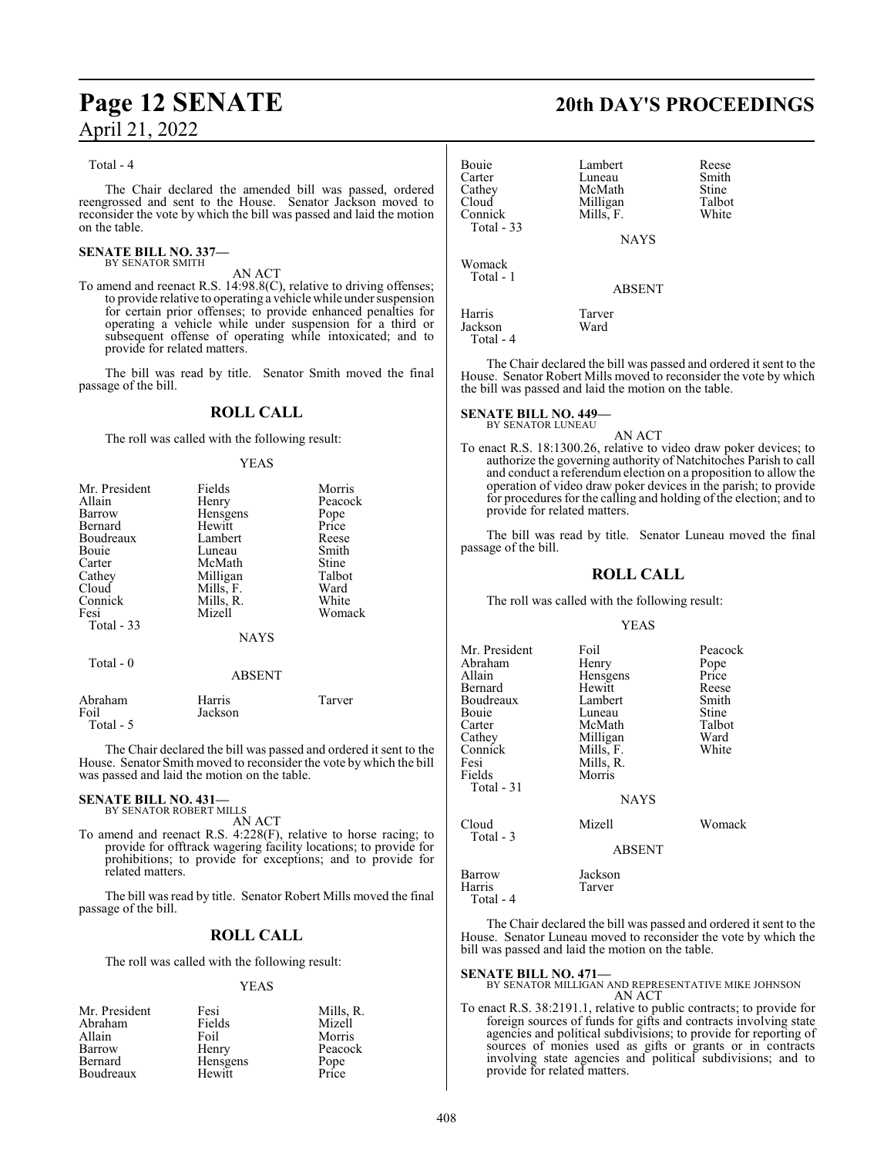# **Page 12 SENATE 20th DAY'S PROCEEDINGS** April 21, 2022

#### Total - 4

The Chair declared the amended bill was passed, ordered reengrossed and sent to the House. Senator Jackson moved to reconsider the vote by which the bill was passed and laid the motion on the table.

# **SENATE BILL NO. 337—** BY SENATOR SMITH

AN ACT

To amend and reenact R.S. 14:98.8(C), relative to driving offenses; to provide relative to operating a vehicle while under suspension for certain prior offenses; to provide enhanced penalties for operating a vehicle while under suspension for a third or subsequent offense of operating while intoxicated; and to provide for related matters.

The bill was read by title. Senator Smith moved the final passage of the bill.

#### **ROLL CALL**

The roll was called with the following result:

#### YEAS

| Mr. President<br>Allain<br>Barrow<br>Bernard<br>Boudreaux<br><b>Bouje</b><br>Carter<br>Cathey<br>Cloud<br>Connick<br>Fesi<br>Total $-33$ | Fields<br>Henry<br>Hensgens<br>Hewitt<br>Lambert<br>Luneau<br>McMath<br>Milligan<br>Mills, F.<br>Mills, R.<br>Mizell<br><b>NAYS</b> | Morris<br>Peacock<br>Pope<br>Price<br>Reese<br>Smith<br>Stine<br>Talbot<br>Ward<br>White<br>Womack |
|------------------------------------------------------------------------------------------------------------------------------------------|-------------------------------------------------------------------------------------------------------------------------------------|----------------------------------------------------------------------------------------------------|
| Total $-0$                                                                                                                               | <b>ABSENT</b>                                                                                                                       |                                                                                                    |
| Abraham                                                                                                                                  | Harris                                                                                                                              | Tarver                                                                                             |

Foil Jackson Total - 5 The Chair declared the bill was passed and ordered it sent to the

House. Senator Smith moved to reconsider the vote by which the bill was passed and laid the motion on the table.

# **SENATE BILL NO. 431—** BY SENATOR ROBERT MILLS

AN ACT

To amend and reenact R.S. 4:228(F), relative to horse racing; to provide for offtrack wagering facility locations; to provide for prohibitions; to provide for exceptions; and to provide for related matters.

The bill was read by title. Senator Robert Mills moved the final passage of the bill.

## **ROLL CALL**

The roll was called with the following result:

#### YEAS

| Mr. President | Fesi     | Mills, R.     |
|---------------|----------|---------------|
| Abraham       | Fields   | Mizell        |
| Allain        | Foil     | Morris        |
| Barrow        | Henry    | Peacock       |
| Bernard       | Hensgens | Pope<br>Price |
| Boudreaux     | Hewitt   |               |

| Bouie<br>Carter<br>Cathey<br>Cloud<br>Connick<br>Total - 33 | Lambert<br>Luneau<br>McMath<br>Milligan<br>Mills, F.<br><b>NAYS</b> | Reese<br>Smith<br>Stine<br>Talbot<br>White |
|-------------------------------------------------------------|---------------------------------------------------------------------|--------------------------------------------|
| Womack<br>Total - 1                                         | <b>ABSENT</b>                                                       |                                            |
| Harris<br>Jackson<br>Total - 4                              | Tarver<br>Ward                                                      |                                            |

The Chair declared the bill was passed and ordered it sent to the House. Senator Robert Mills moved to reconsider the vote by which the bill was passed and laid the motion on the table.

# **SENATE BILL NO. 449—** BY SENATOR LUNEAU

AN ACT

To enact R.S. 18:1300.26, relative to video draw poker devices; to authorize the governing authority of Natchitoches Parish to call and conduct a referendum election on a proposition to allow the operation of video draw poker devices in the parish; to provide for procedures for the calling and holding of the election; and to provide for related matters.

The bill was read by title. Senator Luneau moved the final passage of the bill.

#### **ROLL CALL**

The roll was called with the following result:

#### YEAS

| Mr. President | Foil          | Peacock |
|---------------|---------------|---------|
| Abraham       |               |         |
|               | Henry         | Pope    |
| Allain        | Hensgens      | Price   |
| Bernard       | Hewitt        | Reese   |
| Boudreaux     | Lambert       | Smith   |
| Bouie         | Luneau        | Stine   |
| Carter        | McMath        | Talbot  |
| Cathey        | Milligan      | Ward    |
| Connick       | Mills, F.     | White   |
| Fesi          | Mills, R.     |         |
| Fields        | Morris        |         |
| Total $-31$   |               |         |
|               | <b>NAYS</b>   |         |
| Cloud         | Mizell        | Womack  |
| Total - 3     | <b>ABSENT</b> |         |
|               |               |         |
| Barrow        | Jackson       |         |
| Harris        | Tarver        |         |

Total - 4

The Chair declared the bill was passed and ordered it sent to the House. Senator Luneau moved to reconsider the vote by which the bill was passed and laid the motion on the table.

**SENATE BILL NO. 471—** BY SENATOR MILLIGAN AND REPRESENTATIVE MIKE JOHNSON AN ACT

To enact R.S. 38:2191.1, relative to public contracts; to provide for foreign sources of funds for gifts and contracts involving state agencies and political subdivisions; to provide for reporting of sources of monies used as gifts or grants or in contracts involving state agencies and political subdivisions; and to provide for related matters.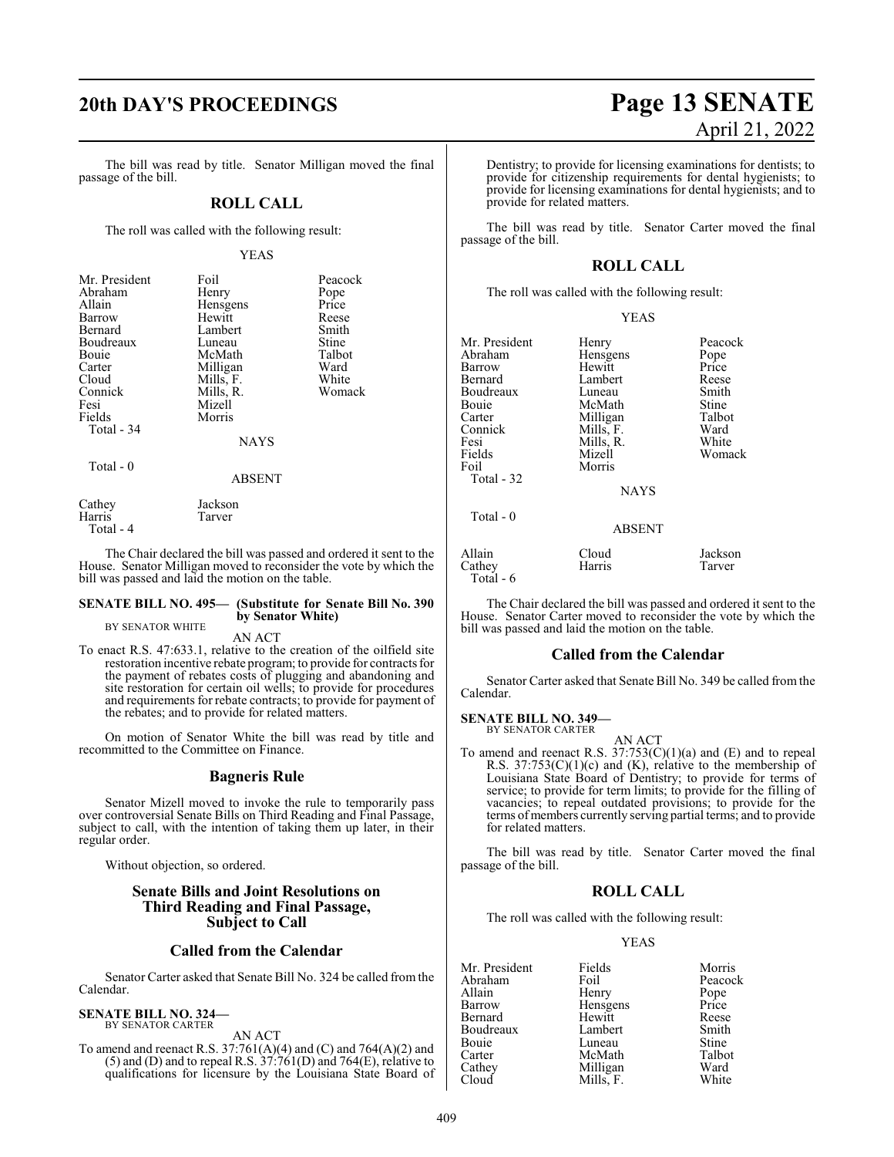# **20th DAY'S PROCEEDINGS Page 13 SENATE**

The bill was read by title. Senator Milligan moved the final passage of the bill.

### **ROLL CALL**

The roll was called with the following result:

#### YEAS

| Mr. President | Foil          | Peacock |
|---------------|---------------|---------|
| Abraham       | Henry         | Pope    |
| Allain        | Hensgens      | Price   |
| Barrow        | Hewitt        | Reese   |
| Bernard       | Lambert       | Smith   |
| Boudreaux     | Luneau        | Stine   |
| Bouie         | McMath        | Talbot  |
| Carter        | Milligan      | Ward    |
| Cloud         | Mills, F.     | White   |
| Connick       | Mills, R.     | Womack  |
| Fesi          | Mizell        |         |
| Fields        | Morris        |         |
| Total - 34    |               |         |
|               | <b>NAYS</b>   |         |
| Total - 0     |               |         |
|               | <b>ABSENT</b> |         |
| Cathey        | Jackson       |         |

Harris Tarver Total - 4

The Chair declared the bill was passed and ordered it sent to the House. Senator Milligan moved to reconsider the vote by which the bill was passed and laid the motion on the table.

#### **SENATE BILL NO. 495— (Substitute for Senate Bill No. 390 by Senator White)** BY SENATOR WHITE

AN ACT

To enact R.S. 47:633.1, relative to the creation of the oilfield site restoration incentive rebate program; to provide for contracts for the payment of rebates costs of plugging and abandoning and site restoration for certain oil wells; to provide for procedures and requirements for rebate contracts; to provide for payment of the rebates; and to provide for related matters.

On motion of Senator White the bill was read by title and recommitted to the Committee on Finance.

#### **Bagneris Rule**

Senator Mizell moved to invoke the rule to temporarily pass over controversial Senate Bills on Third Reading and Final Passage, subject to call, with the intention of taking them up later, in their regular order.

Without objection, so ordered.

### **Senate Bills and Joint Resolutions on Third Reading and Final Passage, Subject to Call**

#### **Called from the Calendar**

Senator Carter asked that Senate Bill No. 324 be called from the Calendar.

#### **SENATE BILL NO. 324—** BY SENATOR CARTER

AN ACT

To amend and reenact R.S. 37:761(A)(4) and (C) and 764(A)(2) and  $(5)$  and  $(D)$  and to repeal R.S.  $37:761(D)$  and  $764(E)$ , relative to qualifications for licensure by the Louisiana State Board of

# April 21, 2022

Dentistry; to provide for licensing examinations for dentists; to provide for citizenship requirements for dental hygienists; to provide for licensing examinations for dental hygienists; and to provide for related matters.

The bill was read by title. Senator Carter moved the final passage of the bill.

#### **ROLL CALL**

The roll was called with the following result:

|                                                                                                                                  | YEAS                                                                                                                                |                                                                                          |
|----------------------------------------------------------------------------------------------------------------------------------|-------------------------------------------------------------------------------------------------------------------------------------|------------------------------------------------------------------------------------------|
| Mr. President<br>Abraham<br>Barrow<br>Bernard<br>Boudreaux<br>Bouie<br>Carter<br>Connick<br>Fesi<br>Fields<br>Foil<br>Total - 32 | Henry<br>Hensgens<br>Hewitt<br>Lambert<br>Luneau<br>McMath<br>Milligan<br>Mills, F.<br>Mills, R.<br>Mizell<br>Morris<br><b>NAYS</b> | Peacock<br>Pope<br>Price<br>Reese<br>Smith<br>Stine<br>Talbot<br>Ward<br>White<br>Womack |
| Total - 0                                                                                                                        | <b>ABSENT</b>                                                                                                                       |                                                                                          |
| Allain<br>Cathey<br>Total - 6                                                                                                    | Cloud<br>Harris                                                                                                                     | Jackson<br>Tarver                                                                        |

The Chair declared the bill was passed and ordered it sent to the House. Senator Carter moved to reconsider the vote by which the bill was passed and laid the motion on the table.

#### **Called from the Calendar**

Senator Carter asked that Senate Bill No. 349 be called from the Calendar.

# **SENATE BILL NO. 349—** BY SENATOR CARTER

AN ACT To amend and reenact R.S.  $37:753(C)(1)(a)$  and (E) and to repeal R.S.  $37:753(C)(1)(c)$  and (K), relative to the membership of Louisiana State Board of Dentistry; to provide for terms of service; to provide for term limits; to provide for the filling of vacancies; to repeal outdated provisions; to provide for the terms ofmembers currently serving partial terms; and to provide for related matters.

The bill was read by title. Senator Carter moved the final passage of the bill.

#### **ROLL CALL**

The roll was called with the following result:

#### YEAS

Mr. President Fields Morris<br>Abraham Foil Peacock Abraham Foil Peacock<br>Allain Henry Pope Allain Henry Pope<br>
Barrow Hensgens Price Barrow Hensgens Price<br>Bernard Hewitt Reese Hewitt Reese<br>Lambert Smith Boudreaux Lambert Smith Bouie Luneau Stine<br>Carter McMath Talbot Carter McMath Talbo<br>Cathey Milligan Ward Cathey Milligan Ward<br>Cloud Mills, F. White Mills, F.